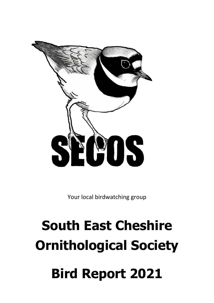

Your local birdwatching group

# **South East Cheshire Ornithological Society Bird Report 2021**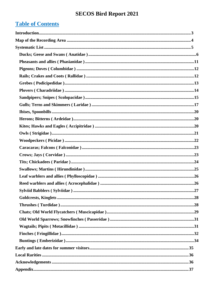# **Table of Contents**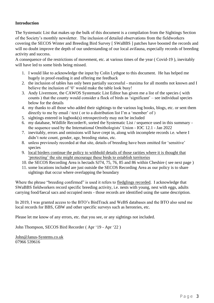#### <span id="page-2-0"></span>**Introduction**

The Systematic List that makes up the bulk of this document is a compilation from the Sightings Section of the Society's monthly newsletter. The inclusion of detailed observations from the fieldworkers covering the SECOS Winter and Breeding Bird Survey [ SWaBBS ] patches have boosted the records and will no doubt improve the depth of our understanding of our local avifauna, especially records of breeding activity and success.

A consequence of the restrictions of movement, etc. at various times of the year ( Covid-19 ), inevitably will have led to some birds being missed.

- 1. I would like to acknowledge the input by Colin Lythgoe to this document. He has helped me hugely in proof-reading it and offering me feedback
- 2. the inclusion of tables has only been partially successful maxima for all months not known and I believe the inclusion of '0' would make the table look busy!
- 3. Andy Livermore, the CAWOS Systematic List Editor has given me a list of the species ( with counts ) that the county would consider a flock of birds as 'significant' – see individual species below for the details
- 4. my thanks to all those who added their sightings to the various log books, blogs, etc. or sent them directly to me by email / text ( or to a distribution list I'm a 'member' of )
- 5. sightings entered in logbook(s) retrospectively may not be included
- 6. my database, Wildlife Recorder®, sorted the Systematic List / sequence used in this summary the sequence used by the International Ornithologists' Union - IOC 12.1 - Jan 2022
- 7. inevitably, errors and omissions will have crept in, along with incomplete records i.e. where I didn't note count, gender, age, breeding status, etc.
- 8. unless previously recorded at that site, details of breeding have been omitted for 'sensitive' species
- 9. local birders continue the policy to withhold details of those rarities where it is thought that 'protecting' the site might encourage these birds to establish territories
- 10. the SECOS Recording Area is hectads SJ74, 75, 76, 85 and 86 within Cheshire ( see next page )
- 11. some locations included are just outside the SECOS Recording Area as our policy is to share sightings that occur where overlapping the boundary

Where the phrase "breeding confirmed" is used it refers to fledglings recorded. I acknowledge that SWaBBS fieldworkers record specific breeding activity, i.e. nests with young, nest with eggs, adults carrying food/faecal sacs and occupied nests - those records are identified using the same description.

In 2019, I was granted access to the BTO's BirdTrack and WeBS databases and the BTO also send me local records for BBS, GBW and other specific surveys such as heronries, etc.

Please let me know of any errors, etc. that you see, or any sightings not included.

John Thompson, SECOS Bird Recorder ( Apr '19 - Apr '22 )

[John@Janus-Systems.co.uk](mailto:John@Janus-Systems.co.uk) 07966 539616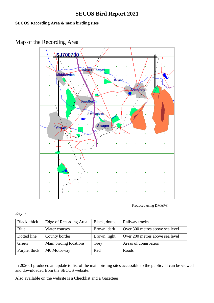### **SECOS Recording Area & main birding sites**

<span id="page-3-0"></span>Map of the Recording Area



Produced using DMAP®

Key: -

| Black, thick  | Edge of Recording Area | Black, dotted | Railway tracks                  |
|---------------|------------------------|---------------|---------------------------------|
| Blue          | Water courses          | Brown, dark   | Over 300 metres above sea level |
| Dotted line   | County border          | Brown, light  | Over 200 metres above sea level |
| Green         | Main birding locations | Grey          | Areas of conurbation            |
| Purple, thick | M6 Motorway            | Red           | Roads                           |

In 2020, I produced an update to list of the main birding sites accessible to the public. It can be viewed and downloaded from the SECOS website.

Also available on the website is a Checklist and a Gazetteer.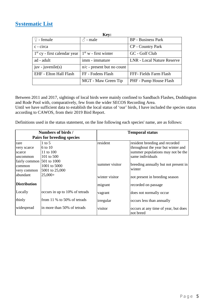### <span id="page-4-0"></span>**Systematic List**

|                                | Key:                         |                                   |
|--------------------------------|------------------------------|-----------------------------------|
| $\circledcirc$ - female        | $\beta$ - male               | <b>BP</b> - Business Park         |
| c - circa                      |                              | <b>CP</b> - Country Park          |
| $1st$ cy - first calendar year | $1st$ w - first winter       | GC - Golf Club                    |
| ad - adult                     | imm - immature               | <b>LNR</b> - Local Nature Reserve |
| $juv - juvenile(s)$            | $n/c$ - present but no count |                                   |
| EHF - Elton Hall Flash         | FF - Fodens Flash            | FFF- Fields Farm Flash            |
|                                | MGT - Maw Green Tip          | PHF - Pump House Flash            |

Between 2011 and 2017, sightings of local birds were mainly confined to Sandbach Flashes, Doddington and Rode Pool with, comparatively, few from the wider SECOS Recording Area. Until we have sufficient data to establish the local status of 'our' birds, I have included the species status according to CAWOS, from their 2019 Bird Report.

Definitions used in the status statement, on the line following each species' name, are as follows:

|                                                       | Numbers of birds /<br>Pairs for breeding species |                | <b>Temporal status</b>                                                                                                        |
|-------------------------------------------------------|--------------------------------------------------|----------------|-------------------------------------------------------------------------------------------------------------------------------|
| rare<br>very scarce<br>scarce<br>uncommon             | $1$ to 5<br>6 to 10<br>11 to 100<br>101 to 500   | resident       | resident breeding and recorded<br>throughout the year but winter and<br>summer populations may not be the<br>same individuals |
| fairly common $ 501$ to 1000<br>common<br>very common | 1001 to 5000<br>5001 to 25,000                   | summer visitor | breeding annually but not present in<br>winter                                                                                |
| abundant                                              | $25,000+$                                        | winter visitor | not present in breeding season                                                                                                |
| <b>Distribution</b>                                   |                                                  | migrant        | recorded on passage                                                                                                           |
| Locally                                               | occurs in up to 10% of tetrads                   | vagrant        | does not normally occur                                                                                                       |
| thinly                                                | from $11\%$ to 50% of tetrads                    | irregular      | occurs less than annually                                                                                                     |
| widespread                                            | in more than 50% of tetrads                      | visitor        | occurs at any time of year, but does<br>not breed                                                                             |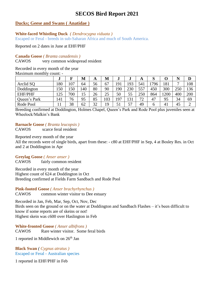#### <span id="page-5-0"></span>**Ducks; Geese and Swans ( Anatidae )**

#### **White-faced Whistling Duck** *( Dendrocygna viduata )*

Escaped or Feral - breeds in sub-Saharan Africa and much of South America.

Reported on 2 dates in June at EHF/PHF

#### **Canada Goose** *( Branta canadensis )*

CAWOS very common widespread resident

#### Recorded in every month of the year

Maximum monthly count: -

|                | J   |     | M   | A  | M  | w   | w   | A       | D   |                       | N              | D   |
|----------------|-----|-----|-----|----|----|-----|-----|---------|-----|-----------------------|----------------|-----|
| Arclid SQ      | 180 | 107 | 64  | 56 | 67 | 191 | 193 | 541     | 796 | 181                   | $\overline{ }$ | 108 |
| Doddington     | 150 | 150 | .40 | 80 | 90 | 190 | 230 | 557     | 450 | 300                   | 250            | 136 |
| <b>EHF/PHF</b> | 125 | 700 | 15  | 26 | 25 | 50  | 55  | 250     | 864 | 1200                  | 400            | 200 |
| Queen's Park   | 141 | 76  | 95  | 85 | 03 | 197 | 131 | 72<br>∼ | 47  | 95                    | 34             | 69  |
| Rode Pool      |     | 38  | 62  | 32 | 19 | ◡   | 57  | 49      | h   | $\mathcal{A}_{\cdot}$ | 45             | ∽   |

Breeding confirmed at Doddington, Holmes Chapel, Queen's Park and Rode Pool plus juveniles seen at Wheelock/Malkin's Bank

### **Barnacle Goose** *( Branta leucopsis )*

CAWOS scarce feral resident

Reported every month of the year

All the records were of single birds, apart from these: - c80 at EHF/PHF in Sep, 4 at Bosley Res. in Oct and 2 at Doddington in Apr

#### **Greylag Goose** *( Anser anser )*

CAWOS fairly common resident

Recorded in every month of the year Highest count of 624 at Doddington in Oct Breeding confirmed at Fields Farm Sandbach and Rode Pool

#### **Pink-footed Goose** *( Anser brachyrhynchus )*

CAWOS common winter visitor to Dee estuary

Recorded in Jan, Feb, Mar, Sep, Oct, Nov, Dec

Birds seen on the ground or on the water at Doddington and Sandbach Flashes – it's been difficult to know if some reports are of skeins or not! Highest skein was c600 over Haslington in Feb

#### **White-fronted Goose** *( Anser albifrons )*

CAWOS Rare winter visitor. Some feral birds

1 reported in Middlewich on  $26<sup>th</sup>$  Jan

**Black Swan** *( Cygnus atratus )* Escaped or Feral - Australian species

1 reported in EHF/PHF in Feb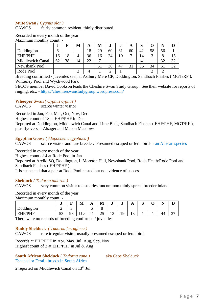#### **Mute Swan** *( Cygnus olor )*

CAWOS fairly common resident, thinly distributed

Recorded in every month of the year Maximum monthly count: -

| -------          |    |    |    |    |    |    |         |    |    |    |    |    |  |
|------------------|----|----|----|----|----|----|---------|----|----|----|----|----|--|
|                  | e. |    | M  | A  | M  | ., | $\cdot$ | A  | O  |    |    |    |  |
| Doddington       | h  |    |    | 18 | 29 | 60 | 61      | 60 | 42 | 58 | 56 |    |  |
| <b>EHF/PHF</b>   | 16 | 18 | 4  | 36 | 16 | 24 | 10      |    | 14 |    |    |    |  |
| Middlewich Canal | 62 | 38 | 14 | 22 | −  |    |         |    |    |    | 32 | 32 |  |
| Newsbank Pool    |    |    |    |    | ЭI | 38 | 47      | 31 | 36 | 34 | 61 | 32 |  |
| Rode Pool        |    |    |    |    |    |    |         |    |    |    |    |    |  |

Breeding confirmed / juveniles seen at Astbury Mere CP, Doddington, Sandbach Flashes ( MGT/RF ), Winterley Pool and Wychwood Park

SECOS member David Cookson leads the Cheshire Swan Study Group. See their website for reports of ringing, etc.: - https://cheshireswanstudygroup.wordpress.com/

#### **Whooper Swan** *( Cygnus cygnus )*

CAWOS scarce winter visitor

Recorded in Jan, Feb, Mar, Oct, Nov, Dec

Highest count of 18 at EHF/PHF in Dec

Reported at Doddington, Middlewich Canal and Lime Beds, Sandbach Flashes ( EHF/PHF, MGT/RF ), plus flyovers at Alsager and Macon Meadows

**Egyptian Goose** *( Alopochen aegyptiaca )*

CAWOS scarce visitor and rare breeder. Presumed escaped or feral birds - an African species

Recorded in every month of the year

Highest count of 4 at Rode Pool in Jan

Reported at Arclid SQ, Doddington, L Moreton Hall, Newsbank Pool, Rode Heath/Rode Pool and Sandbach Flashes ( EHF/PHF ).

It is suspected that a pair at Rode Pool nested but no evidence of success

#### **Shelduck** *( Tadorna tadorna )*

CAWOS very common visitor to estuaries, uncommon thinly spread breeder inland

Recorded in every month of the year

Maximum monthly count: -

|                                             | e.           | -<br>-  | $\blacksquare$<br>M | A       | M                              | J                        | J        | <b>TT</b>  | ∼<br>ັ | - -            | ≖   |
|---------------------------------------------|--------------|---------|---------------------|---------|--------------------------------|--------------------------|----------|------------|--------|----------------|-----|
| $\mathbf{r}$ 1 1 $\mathbf{r}$<br>Joddington | ⌒<br>∼       | ັ       |                     | . .     | U                              |                          |          |            |        |                |     |
| <b>EHF/PHF</b>                              | $\sim$<br>ັບ | ∩∩<br>ັ | 110                 | ட<br>тı | $\overline{\phantom{0}}$<br>رے | $\overline{\phantom{0}}$ | c<br>. . | $\sqrt{2}$ |        | $\Delta\Delta$ | ، ، |

There were no records of breeding confirmed / juveniles

#### **Ruddy Shelduck** *( Tadorna ferruginea )*

CAWOS rare irregular visitor usually presumed escaped or feral birds

Records at EHF/PHF in Apr, May, Jul, Aug, Sep, Nov Highest count of 3 at EHF/PHF in Jul & Aug

**South African Shelduck** ( *Tadorna cana )* aka Cape Shelduck Escaped or Feral - breeds in South Africa

2 reported on Middlewich Canal on 13<sup>th</sup> Jul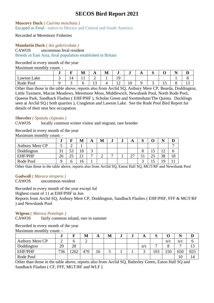**Muscovy Duck** *( Cairina moschata )* Escaped or Feral - native to Mexico and Central and South America

Recorded at Meremoor Fisheries

#### **Mandarin Duck** *( Aix galericulata )*

CAWOS uncommon feral resident

Breeds in East Asia, feral population established in Britain

#### Recorded in every month of the year

Maximum monthly count: -

|                    | w |    | M            | л          | - -<br>M | ∙                    | ு  | $\mathbf{L}$ | C<br>ັ | ◡                     | $\blacksquare$<br>n | ≖            |
|--------------------|---|----|--------------|------------|----------|----------------------|----|--------------|--------|-----------------------|---------------------|--------------|
| <b>Lawton Lake</b> | ັ | 14 | $\mathbf{r}$ | ∽          |          | $\Omega$<br><b>*</b> |    |              |        |                       |                     |              |
| Pool<br>Rode P     |   |    |              | $\sqrt{2}$ |          | $\sim$<br>∸          | 10 |              |        | $\overline{ }$<br>1 J |                     | $\sim$<br>⊥ັ |

Other than those in the table above, reports also from Arclid SQ, Astbury Mere CP, Bearda, Doddington, Little Taxmere, Macon Meadows, Meremoor Moss, Middlewich, Newsbank Pool, North Rode Pool, Queens Park, Sandbach Flashes ( EHF/PHF ), Scholar Green and Swettenham/The Quinta. Ducklings seen at Arclid SQ ( both quarries ), Congleton and Lawton Lake. See the Rode Pool Bird Report for details of their nest box occupation.

#### **Shoveler** *( Spatula clypeata )*

CAWOS locally common winter visitor and migrant, rare breeder

Recorded in every month of the year

Maximum monthly count: -

|                        | - e.b                    |    | М  | A          | M | w | w | A                                  | ົ<br>IJ |              | .,        |           |
|------------------------|--------------------------|----|----|------------|---|---|---|------------------------------------|---------|--------------|-----------|-----------|
| <b>Astbury Mere CP</b> |                          |    |    |            |   |   |   |                                    |         |              |           |           |
| Doddington             | $\mathbf{\Omega}$<br>3 I | 53 | 18 | $\sqrt{2}$ |   |   |   |                                    |         | ⊥ J          | ר ו<br>∼  |           |
| <b>EHF/PHF</b>         | 26                       | っょ | 21 | -          |   | - |   | $\sim$<br>$\overline{\phantom{0}}$ |         | $\cap$<br>∠~ | 38        | 1 O<br>10 |
| Rode Pool              |                          |    | 16 |            |   |   |   |                                    |         |              | $10^{-1}$ |           |

Other than those in the table above, reports also from Arclid SQ, Eaton Hall SQ, MGT/RF and Newsbank Pool

#### **Gadwall** *( Mareca strepera )*

CAWOS uncommon resident

Recorded in every month of the year except Jul

Highest count of 11 at EHF/PHF in Jun

Reports from Arclid SQ, Astbury Mere CP, Doddington, Sandbach Flashes ( EHF/PHF, FFF & MGT/RF ) and Newsbank Pool

#### **Wigeon** *( Mareca Penelope )*

CAWOS fairly common inland, rare in summer

#### Recorded in every month of the year

Maximum monthly count: -

|                        | J   | −   | M   | A  | M | w | w | A   | ັບ |     |     | D                |
|------------------------|-----|-----|-----|----|---|---|---|-----|----|-----|-----|------------------|
| <b>Astbury Mere CP</b> |     |     | ∠   |    |   |   |   |     |    | n/c | n/c | O                |
| Doddington             | 29  | 28  |     |    |   |   |   | n/c |    |     |     | $1\Omega$<br>⊥ J |
| <b>EHF/PHF</b>         | 736 | 262 | 470 | 16 | ັ |   |   | ⌒   | 03 | 150 | 650 | 825              |
| Rode Pool              |     |     |     |    |   |   |   |     |    |     | 10  | 14               |

Other than those in the table above, reports also from Arclid SQ, Balterley Green, Eaton Hall SQ and Sandbach Flashes ( CF, FFF, MGT/RF and WLF )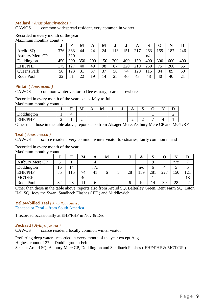#### **Mallard** *( Anas platyrhynchos )*

CAWOS common widespread resident, very common in winter

#### Recorded in every month of the year Maximum monthly count: -

|                        | ۰J  | F   | M   | A   | M   | J   | J   | A    | IJ  | O   |     | D   |
|------------------------|-----|-----|-----|-----|-----|-----|-----|------|-----|-----|-----|-----|
| Arclid SQ              | 376 | 333 | 44  | 24  | 24  | 113 | .51 | 217  | 263 | 159 | 187 | 246 |
| <b>Astbury Mere CP</b> |     | 320 |     |     |     |     |     |      | n/c |     |     |     |
| Doddington             | 450 | 200 | 350 | 200 | 150 | 200 | 400 | 50ء  | 400 | 300 | 600 | 400 |
| <b>EHF/PHF</b>         | 175 | 27  | 40  | 49  | 98  | 87  | 220 | 210  | 250 | 75  | 200 | 55  |
| Queens Park            | 58  | 23  | 31  | 37  | 37  | 56  | 74  | l 20 | 115 | 84  | 89  | 50  |
| Rode Pool              | 22  | 51  | 22  | 19  | 14  | 25  | 40  | 43   | 48  | 40  | 40  | 21  |

#### **Pintail** *( Anas acuta )*

CAWOS common winter visitor to Dee estuary, scarce elsewhere

Recorded in every month of the year except May to Jul

Maximum monthly count: -

|                                                                | – | . .<br><b>TAT</b> | Д<br>$\overline{1}$ | . .<br>M | J | ۰J | $\sqrt{2}$ | ⌒<br>ັ |   | . . |  |
|----------------------------------------------------------------|---|-------------------|---------------------|----------|---|----|------------|--------|---|-----|--|
| $\mathbf{1}$<br>$\overline{\phantom{a}}$<br>∽r<br>$\sim$<br>wu |   |                   |                     |          |   |    |            |        |   |     |  |
| $H = HF/PHF$<br><br>---<br>-                                   |   |                   |                     |          |   |    |            |        | - |     |  |

Other than those in the table above, reports also from Alsager Mere, Astbury Mere CP and MGT/RF

#### **Teal** *( Anas crecca )*

CAWOS scarce resident, very common winter visitor to estuaries, fairly common inland

Recorded in every month of the year

Maximum monthly count: -

|                        | w  |    | M  | A              | М | IJ | A   | כו  |     |     |     |
|------------------------|----|----|----|----------------|---|----|-----|-----|-----|-----|-----|
| <b>Astbury Mere CP</b> |    |    |    | 4              |   |    |     | a   |     | n/c |     |
| Doddington             | ιJ | 14 |    | n/c            |   |    | n/c | O   | 4   |     |     |
| <b>EHF/PHF</b>         | 85 | 15 | 74 | 4 <sub>1</sub> | O | 28 | 159 | 281 | 227 | 150 | 121 |
| MGT/RF                 |    |    | 40 |                |   |    |     |     |     |     | 10  |
| Rode Pool              | 32 | 28 | 11 |                |   |    | 10  | 14  | 39  | 28  | 22  |

Other than those in the table above, reports also from Arclid SQ, Balterley Green, Bent Farm SQ, Eaton Hall SQ, Joey the Swan, Sandbach Flashes ( FF ) and Middlewich

### **Yellow-billed Teal** *( Anas flavirostris )*

Escaped or Feral – from South America

1 recorded occasionally at EHF/PHF in Nov & Dec

#### **Pochard** *( Aythya farina )*

CAWOS scarce resident, locally common winter visitor

Preferring deep water - recorded in every month of the year except Aug Highest count of 27 at Doddington in Feb Seen at Arclid SQ, Astbury Mere CP, Doddington and Sandbach Flashes ( EHF/PHF & MGT/RF )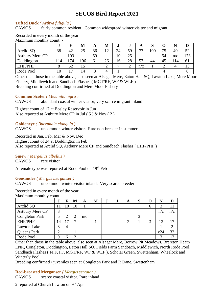#### **Tufted Duck** *( Aythya fuligula )*

CAWOS fairly common resident. Common widespread winter visitor and migrant

| Maximum monthly count: - |           |                |     |    |        |    |        |     |     |        |     |     |
|--------------------------|-----------|----------------|-----|----|--------|----|--------|-----|-----|--------|-----|-----|
|                          | $\bullet$ |                | М   | A  | M      |    | J      | A   | IJ  | U      |     | ע   |
| Arclid SQ                | 38        | 42             | 25  | 36 | 12     | 24 | 59     | 77  | 100 | 75     | 40  | 52  |
| <b>Astbury Mere CP</b>   |           | 103            |     | 59 |        | 10 | 25     |     |     | 54     | n/c | 173 |
| Doddington               | 14ء       | 74             | 196 | 61 | 26     | 16 | 28     | 57  | 44  | 45     | 114 | 61  |
| <b>EHF/PHF</b>           | 8         | 52             | 15  |    | ◠<br>∠ |    | ◠<br>↵ | n/c |     | ⌒<br>∠ |     | 13  |
| Rode Pool                | 10        | $\overline{ }$ | 14  |    | Δ      |    |        |     |     |        |     | n   |

Recorded in every month of the year Maximum monthly count: -

Other than those in the table above, also seen at Alsager Mere, Eaton Hall SQ, Lawton Lake, Mere Moor Fishery, Middlewich and Sandbach Flashes ( MGT/RF, WF & WLF ) Breeding confirmed at Doddington and Mere Moor Fishery

**Common Scoter** *( Melanitta nigra )*

CAWOS abundant coastal winter visitor, very scarce migrant inland

Highest count of 17 at Bosley Reservoir in Jun Also reported at Astbury Mere CP in Jul ( 5 ) & Nov ( 2 )

**Goldeneye** *( Bucephala clangula )*

CAWOS uncommon winter visitor. Rare non-breeder in summer

Recorded in Jan, Feb, Mar & Nov, Dec

Highest count of 24 at Doddington in Feb

Also reported at Arclid SQ, Astbury Mere CP and Sandbach Flashes ( EHF/PHF )

#### **Smew** *( Mergellus albellus )*

CAWOS rare visitor

A female type was reported at Rode Pool on 19th Feb

#### **Goosander** *( Mergus merganser )*

CAWOS uncommon winter visitor inland. Very scarce breeder

#### Recorded in every month of the year

Maximum monthly count: -

|                        | ۰J                |    | M  | A   | M | $\cdot$ | $\cdot$ | A | ю |   |     |     |
|------------------------|-------------------|----|----|-----|---|---------|---------|---|---|---|-----|-----|
| Arclid SQ              | 11                | 10 | 10 |     |   |         |         |   |   | 6 |     |     |
| <b>Astbury Mere CP</b> | $\mathbf{\Omega}$ |    |    |     |   |         |         |   |   |   | n/c | n/c |
| <b>Congleton Park</b>  |                   |    |    | n/c |   |         |         |   |   |   |     |     |
| <b>EHF/PHF</b>         | 14                | 17 | −  |     |   |         |         |   |   | 3 | 13  | 17  |
| Lawton Lake            | ⌒                 | 4  |    |     |   |         |         |   |   |   |     |     |
| Queens Park            | ⌒<br>∠            |    |    |     |   |         |         |   |   |   | c24 | 32  |
| Rode Pool              | $\Omega$          |    |    |     |   |         |         |   |   |   |     | 17  |

Other than those in the table above, also seen at Alsager Mere, Borrow Pit Meadows, Brereton Heath LNR, Congleton, Doddington, Eaton Hall SQ, Fields Farm Sandbach, Middlewich, North Rode Pool, Sandbach Flashes ( FFF, FF, MGT/RF, WF & WLF ), Scholar Green, Swettenham, Wheelock and Winterly Pool

Breeding confirmed / juveniles seen at Congleton Park and R Dane, Swettenham

# **Red-breasted Merganser** *( Mergus serrator )*

CAWOS scarce coastal visitor. Rare inland

2 reported at Church Lawton on 9<sup>th</sup> Apr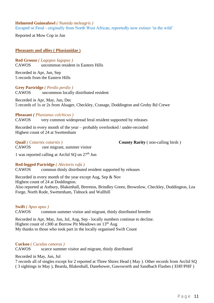#### **Helmeted Guineafowl** *( Numida meleagris )* Escaped or Feral - originally from North West African, reportedly now extinct 'in the wild'

Reported at Mow Cop in Jun

#### <span id="page-10-0"></span>**Pheasants and allies ( Phasianidae )**

**Red Grouse** *( Lagopus lagopus )* CAWOS uncommon resident in Eastern Hills

Recorded in Apr, Jun, Sep 5 records from the Eastern Hills

**Grey Partridge** *( Perdix perdix )* CAWOS uncommon locally distributed resident

Recorded in Apr, May, Jun, Dec 5 records of 1s or 2s from Alsager, Checkley, Cranage, Doddington and Groby Rd Crewe

#### **Pheasant** *( Phasianus colchicus )*

CAWOS very common widespread feral resident supported by releases

Recorded in every month of the year – probably overlooked / under-recorded Highest count of 24 at Swettenham

**Quail** *( Coturnix coturnix )* **County Rarity** ( non-calling birds )

1 was reported calling at Arclid  $SQ$  on  $27<sup>th</sup>$  Jun

CAWOS rare migrant, summer visitor

#### **Red-legged Partridge** *( Alectoris rufa )*

CAWOS common thinly distributed resident supported by releases

Recorded in every month of the year except Aug, Sep & Nov

Highest count of 24 at Doddington.

Also reported at Astbury, Blakenhall, Brereton, Brindley Green, Brownlow, Checkley, Doddington, Lea Forge, North Rode, Swettenham, Tidnock and Wallhill

#### **Swift** *( Apus apus )*

CAWOS common summer visitor and migrant, thinly distributed breeder

Recorded in Apr, May, Jun, Jul, Aug, Sep - locally numbers continue to decline. Highest count of c300 at Borrow Pit Meadows on  $13<sup>th</sup>$  Aug My thanks to those who took part in the locally organised Swift Count

#### **Cuckoo** *( Cuculus canorus )*

CAWOS scarce summer visitor and migrant, thinly distributed

Recorded in May, Jun, Jul

7 records all of singles except for 2 reported at Three Shires Head ( May ). Other records from Arclid SQ ( 3 sightings in May ), Bearda, Blakenhall, Danebower, Gawsworth and Sandbach Flashes ( EHF/PHF )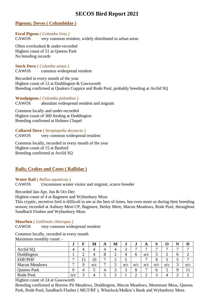#### <span id="page-11-0"></span>**Pigeons; Doves ( Columbidae )**

**Feral Pigeon** *( Columba livia )* CAWOS very common resident, widely distributed in urban areas

Often overlooked & under-recorded Highest count of 51 at Queens Park No breeding records

**Stock Dove** *( Columba oenas )* CAWOS common widespread resident

Recorded in every month of the year Highest count of 12 at Doddington & Gawsworth Breeding confirmed at Quakers Coppice and Rode Pool, probably breeding at Arclid SQ

#### **Woodpigeon** *( Columba palumbus )*

CAWOS abundant widespread resident and migrant

Common locally and under-recorded Highest count of 300 feeding at Doddington Breeding confirmed at Holmes Chapel

**Collared Dove** *( Streptopelia decaocto )* CAWOS very common widespread resident

Common locally, recorded in every month of the year Highest count of 15 at Basford Breeding confirmed at Arclid SQ

#### <span id="page-11-1"></span>**Rails; Crakes and Coots ( Rallidae )**

#### **Water Rail** *( Rallus aquaticus )*

CAWOS Uncommon winter visitor and migrant, scarce breeder

Recorded Jan-Apr, Jun & Oct-Dec

Highest count of 4 at Bagmere and Wybunbury Moss

This cryptic, secretive bird is difficult to see at the best of times, but even more so during their breeding season; recorded at Astbury Mere CP, Bagmere, Betley Mere, Macon Meadows, Rode Pool, throughout Sandbach Flashes and Wybunbury Moss

#### **Moorhen** *( Gallinula chloropus )*

CAWOS very common widespread resident

Common locally, recorded in every month

Maximum monthly count: -

|                      | J            | F      | M   | A | M      | J                 | e.     | A              | ົ<br>O |        | N           | D                        |
|----------------------|--------------|--------|-----|---|--------|-------------------|--------|----------------|--------|--------|-------------|--------------------------|
| Arclid SQ            | 4            | 4      |     | 4 | 4      | $\mathbf 3$<br>ت  | −      |                |        | −      | −           | $\overline{ }$           |
| Doddington           |              | ◠<br>∠ |     | 8 | ⌒<br>∠ | 4                 | O      | n/c            |        | ◠<br>∼ | O           | ⌒                        |
| <b>EHF/PHF</b>       | $\mathbf{r}$ | ⊥J     | 10  | − | ⌒<br>∠ | ັ                 |        | $\overline{ }$ |        | ັ      |             | $\overline{\phantom{0}}$ |
| <b>Macon Meadows</b> | ⇁            | 9      | n/c | − |        | n/c               | n/c    | n/c            | n/c    | n/c    | 3<br>ر      | n/c                      |
| Queens Park          | $\mathbf Q$  | 4      |     |   | ⌒<br>э | $\mathbf{z}$<br>ت | 8      | $\overline{ }$ | h      | ັ      | $\mathbf Q$ | 11                       |
| Rode Pool            | n/c          | ⌒<br>ر |     |   | ⌒      |                   | ⌒<br>∼ |                | ⌒      |        | ↩           | $\sim$                   |

Highest count of 24 at Gawsworth

Breeding confirmed at Borrow Pit Meadows, Doddington, Macon Meadows, Meremoor Moss, Queens Park, Rode Pool, Sandbach Flashes ( MGT/RF ), Wheelock/Malkin's Bank and Wybunbury Moss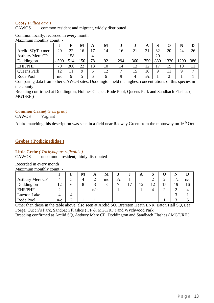#### **Coot** *( Fullica atra )*

#### CAWOS common resident and migrant, widely distributed

|                        | $^{\bullet}$ | F   | M   | A  | M  | $\cdot$ | $\cdot$        | A          | Q<br>O      |      | N    | D            |
|------------------------|--------------|-----|-----|----|----|---------|----------------|------------|-------------|------|------|--------------|
| Arclid SQ/Taxmere      | 20           | 22  | 16  | 17 | 14 | 16      | 2 <sup>1</sup> | 31         | 32          | 20   | 24   | 26           |
| <b>Astbury Mere CP</b> |              | 158 |     | 4  |    |         |                |            | 20          |      |      |              |
| Doddington             | c500         | 514 | 50ء | 78 | 92 | 294     | 360            | 750        | 880         | 1320 | 1290 | 386          |
| <b>EHF/PHF</b>         | 70           | 300 | 22  | 13 | 10 | 14      | 13             | $\sqrt{2}$ | 17          |      | 10   | 11           |
| Queens Park            | 12           |     | Q   |    | 12 |         |                | 16         | $\mathbf Q$ |      | 9    | $\mathbf{r}$ |
| Rode Pool              | n/c          | Q   |     | h  | h  |         | 4              | n/c        |             | ∽    |      |              |

#### Common locally, recorded in every month Maximum monthly count: -

Comparing data from other CAWOS sites, Doddington held the highest concentrations of this species in the county

Breeding confirmed at Doddington, Holmes Chapel, Rode Pool, Queens Park and Sandbach Flashes ( MGT/RF )

#### **Common Crane***( Grus grus )*

CAWOS Vagrant

A bird matching this description was seen in a field near Radway Green from the motorway on  $16<sup>th</sup>$  Oct

#### <span id="page-12-0"></span>**Grebes ( Podicipedidae )**

#### **Little Grebe** *( Tachybaptus ruficollis )*

#### CAWOS uncommon resident, thinly distributed

Recorded in every month Maximum monthly count: -

| widAmnum monthly count. |            |   |   |     |     |     |    |        |         |   |     |     |
|-------------------------|------------|---|---|-----|-----|-----|----|--------|---------|---|-----|-----|
|                         | w          |   | M | A   | М   | .,  | w  | A      | Q<br>IJ |   |     |     |
| <b>Astbury Mere CP</b>  | 4          |   | 4 | ∠   | n/c | n/c |    |        |         |   | n/c | n/c |
| Doddington              | 1 າ<br>⊥ ∠ | O | 8 |     |     |     | רי | $\cap$ | 12      |   | 19  | 16  |
| <b>EHF/PHF</b>          | ∠          |   |   | n/c |     |     |    |        | 4       | ∸ | ∠   |     |
| Lawton Lake             |            |   |   |     |     |     |    |        |         |   |     |     |
| Rode Pool               | n/c        |   |   |     |     |     |    |        |         |   |     |     |

Other than those in the table above, also seen at Arclid SQ, Brereton Heath LNR, Eaton Hall SQ, Lea Forge, Queen's Park, Sandbach Flashes ( FF & MGT/RF ) and Wychwood Park

Breeding confirmed at Arclid SQ, Astbury Mere CP, Doddington and Sandbach Flashes ( MGT/RF )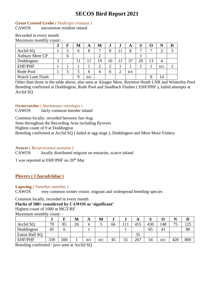#### **Great Crested Grebe** *( Podiceps cristatus )*

CAWOS uncommon resident inland

#### Recorded in every month Maximum monthly count: -

|                        | $\bullet$ |   | M | A            | M  | J      | J | A   | Q<br>D |    |     |  |
|------------------------|-----------|---|---|--------------|----|--------|---|-----|--------|----|-----|--|
| Arclid SQ              |           |   | n | 8            | −  | O<br>Ω |   |     | −      |    |     |  |
| <b>Astbury Mere CP</b> |           | O |   |              |    |        |   |     |        |    |     |  |
| Doddington             | ⌒         |   |   | 11           | 19 | 10     |   | 37  | 20     | 13 |     |  |
| <b>EHF/PHF</b>         |           |   |   |              |    | ◠      |   |     |        |    | n/c |  |
| Rode Pool              |           |   |   | <sub>0</sub> |    | n      | ⌒ | n/c |        |    |     |  |
| Watch Lane Flash       |           |   |   | n/c          |    |        |   |     |        | 8  | 14  |  |

Other than those in the table above, also seen at Alsager Mere, Brereton Heath LNR and Winterley Pool Breeding confirmed at Doddington, Rode Pool and Sandbach Flashes ( EHF/PHF ), failed attempts at Arclid SQ

#### **Oystercatcher** *( Haematopus ostralegus )*

CAWOS fairly common breeder inland

Common locally; recorded between Jan-Aug

Seen throughout the Recording Area including flyovers

Highest count of 9 at Doddington

Breeding confirmed at Arclid SQ ( failed at egg stage ), Doddington and Mere Moor Fishery

#### **Avocet** ( *Recurvirostra avosetta )*

CAWOS locally distributed migrant on estuaries, scarce inland

1 was reported at EHF/PHF on 20th Mar

### <span id="page-13-0"></span>**Plovers ( Charadriidae )**

#### **Lapwing** *( Vanellus vanellus )*

CAWOS very common winter visitor, migrant and widespread breeding species

Common locally, recorded in every month

#### **Flocks of 500+ considered by CAWOS as 'significant'**

Highest count of 1000 at MGT/RF

Maximum monthly count: -

|                | w   | ∽   | M  | A   | M   | J  |    | A   | N   |     |         | ע   |
|----------------|-----|-----|----|-----|-----|----|----|-----|-----|-----|---------|-----|
| Arclid SO      | 70  | 85  | 26 | 4   | ັ   | 66 |    | 415 | 430 | 148 | 75<br>◡ | 125 |
| Doddington     | 45  | O   |    |     |     |    |    |     | 65  | 41  |         | 80  |
| Eaton Hall SQ  |     |     |    |     |     |    |    | 35  |     |     |         |     |
| <b>EHF/PHF</b> | 330 | 500 |    | n/c | n/c | 45 | 55 | 267 | 54  | n/c | 420     | 800 |

Breeding confirmed / juvs seen at Arclid SQ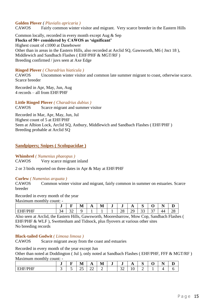#### **Golden Plover** *( Pluvialis apricaria )*

CAWOS Fairly common winter visitor and migrant. Very scarce breeder in the Eastern Hills

Common locally, recorded in every month except Aug & Sep **Flocks of 50+ considered by CAWOS as 'significant'** Highest count of c1000 at Danebower Other than in areas in the Eastern Hills, also recorded at Arclid SQ, Gawsworth, M6 ( Jnct 18 ), Middlewich and Sandbach Flashes ( EHF/PHF & MGT/RF ) Breeding confirmed / juvs seen at Axe Edge

#### **Ringed Plover** *( Charadrius hiaticula )*

CAWOS Uncommon winter visitor and common late summer migrant to coast, otherwise scarce. Scarce breeder

Recorded in Apr, May, Jun, Aug 4 records – all from EHF/PHF

**Little Ringed Plover** *( Charadrius dubius )* CAWOS Scarce migrant and summer visitor

Recorded in Mar, Apr, May, Jun, Jul Highest count of 5 at EHF/PHF Seen at Albion Lock, Arclid SQ, Astbury, Middlewich and Sandbach Flashes ( EHF/PHF ) Breeding probable at Arclid SQ

#### <span id="page-14-0"></span>**Sandpipers; Snipes ( Scolopacidae )**

**Whimbrel** *( Numenius phaeopus )*

CAWOS Very scarce migrant inland

2 or 3 birds reported on three dates in Apr & May at EHF/PHF

#### **Curlew** *( Numenius arquata )*

CAWOS Common winter visitor and migrant, fairly common in summer on estuaries. Scarce breeder

Recorded in every month of the year

Maximum monthly count: -

|                                   | u            |     | M | ∸<br>$\mathbf{L}$ | . .<br>N/<br><b>TAT</b> | -<br>J | u                       | . .                         | $\sim$<br>ຼ |                                                        | - -<br>n<br><b>.</b> | ≖  |
|-----------------------------------|--------------|-----|---|-------------------|-------------------------|--------|-------------------------|-----------------------------|-------------|--------------------------------------------------------|----------------------|----|
| <b>TE/DHE</b><br>. .<br>பய<br>*** | ⌒<br>34<br>ັ | ے ب |   |                   |                         |        | $\Omega$<br>$\sim$<br>້ | $\sim$ $\sim$<br>ົາເ<br>ـ ـ | ~ ~<br>ັ    | $\overline{\phantom{a}}$<br>$\overline{\phantom{a}}$ . | 44                   | 28 |

Also seen at Arclid, the Eastern Hills, Gawsworth, Mooresbarrow, Mow Cop, Sandbach Flashes ( EHF/PHF & WLF ), Swettenham and Tidnock, plus flyovers at various other sites No breeding records

#### **Black-tailed Godwit** *( Limosa limosa )*

CAWOS Scarce migrant away from the coast and estuaries

Recorded in every month of the year except Jun

Other than noted at Doddington ( Jul ), only noted at Sandbach Flashes ( EHF/PHF, FFF & MGT/RF ) Maximum monthly count: -

|                                                                         | -e. | . .<br>M                 | _<br>$\overline{\phantom{a}}$ | $\overline{\phantom{a}}$<br>M | ∙ | ŧ.               | $\overline{ }$ | $\sim$<br>້ | ີ | $ -$<br>יי<br>- | –<br>௶ |
|-------------------------------------------------------------------------|-----|--------------------------|-------------------------------|-------------------------------|---|------------------|----------------|-------------|---|-----------------|--------|
| $T = T$<br><b>TITTT</b><br>/ D 1⊣<br>-<br>ь<br>_<br>_<br>-<br>.<br>---- | ັ   | $\Delta$ $\epsilon$<br>⊷ | ∠∠                            | ∽                             |   | $\sim$<br>- J 42 | ΙV             | ∼           | - |                 | . .    |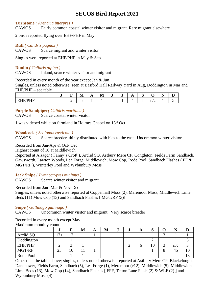#### **Turnstone** *( Arenaria interpres )*

CAWOS Fairly common coastal winter visitor and migrant. Rare migrant elsewhere

2 birds reported flying over EHF/PHF in May

#### **Ruff** *( Calidris pugnax )*

CAWOS Scarce migrant and winter visitor

Singles were reported at EHF/PHF in May & Sep

#### **Dunlin** *( Calidris alpina )*

CAWOS Inland, scarce winter visitor and migrant

Recorded in every month of the year except Jan & Jun

Singles, unless noted otherwise; seen at Basford Hall Railway Yard in Aug, Doddington in Mar and EHF/PHF – see table

|                                         | $\overline{\phantom{a}}$<br>-e. | -<br>- | . .<br>IV/I<br>TAT    | д<br>. . | M | e. | $\overline{\phantom{a}}$<br>-e. | $\overline{1}$ | $\sim$<br>ັ |          | . .<br>- | ┻ |
|-----------------------------------------|---------------------------------|--------|-----------------------|----------|---|----|---------------------------------|----------------|-------------|----------|----------|---|
| $T = T$<br>. .<br>нн<br>---<br>.<br>. . |                                 | ∽      | $\tilde{\phantom{a}}$ |          |   |    |                                 |                |             | n/c<br>╰ |          | - |

#### **Purple Sandpiper***( Calidris maritima )*

CAWOS Scarce coastal winter visitor

1 was videoed while on farmland in Holmes Chapel on 13th Oct

**Woodcock** *( Scolopax rusticola )*

CAWOS Scarce breeder, thinly distributed with bias to the east. Uncommon winter visitor

Recorded from Jan-Apr & Oct- Dec

Highest count of 10 at Middlewich

Reported at Alsager ( Fanny's Croft ), Arclid SQ, Astbury Mere CP, Congleton, Fields Farm Sandbach, Gawsworth, Lawton Woods, Lea Forge, Middlewich, Mow Cop, Rode Pool, Sandbach Flashes ( FF & MGT/RF ), Winterley Pool and Wybunbury Moss

#### **Jack Snipe** *( Lymnocryptes minimus )*

CAWOS Scarce winter visitor and migrant

Recorded from Jan- Mar & Nov-Dec

Singles, unless noted otherwise reported at Coppenhall Moss (2), Meremoor Moss, Middlewich Lime Beds (11) Mow Cop (13) and Sandbach Flashes [ MGT/RF (3)]

#### **Snipe** *( Gallinago gallinago )*

CAWOS Uncommon winter visitor and migrant. Very scarce breeder

Recorded in every month except May Maximum monthly count: -

|            | J    |                | M  | A | M | .J | w | A | ี่<br>N |     |               |
|------------|------|----------------|----|---|---|----|---|---|---------|-----|---------------|
| Arclid SQ  | $7+$ | $\overline{ }$ |    |   |   |    |   |   |         |     |               |
| Doddington |      |                |    |   |   |    |   |   | -       |     |               |
| EHF/PHF    | ↩    |                |    |   |   |    |   | n | 10      | n/c |               |
| MGT/RF     | 25   | 10             | 11 |   |   |    |   |   |         | 45  |               |
| Rode Pool  |      |                |    |   |   |    |   |   |         |     | $\sim$<br>⊥ J |

Other than the table above; singles, unless noted otherwise reported at Astbury Mere CP, Blackclough, Danebower, Fields Farm, Sandbach (5), Lea Forge (1), Meremoor (c12), Middlewich (5), Middlewich Lime Beds (13), Mow Cop (14), Sandbach Flashes [ FFF, Tetton Lane Flash (2) & WLF (2) ] and Wybunbury Moss (4)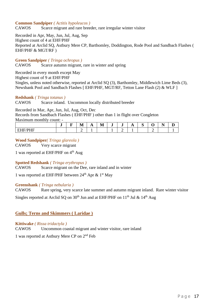#### **Common Sandpiper** *( Actitis hypoleucos )*

CAWOS Scarce migrant and rare breeder, rare irregular winter visitor

Recorded in Apr, May, Jun, Jul, Aug, Sep Highest count of 4 at EHF/PHF Reported at Arclid SQ, Astbury Mere CP, Barthomley, Doddington, Rode Pool and Sandbach Flashes ( EHF/PHF & MGT/RF )

**Green Sandpiper** *( Tringa ochropus )*

CAWOS Scarce autumn migrant, rare in winter and spring

Recorded in every month except May Highest count of 9 at EHF/PHF Singles, unless noted otherwise, reported at Arclid SQ (3), Barthomley, Middlewich Lime Beds (3), Newsbank Pool and Sandbach Flashes [ EHF/PHF, MGT/RF, Tetton Lane Flash (2) & WLF ]

#### **Redshank** *( Tringa totanus )*

CAWOS Scarce inland. Uncommon locally distributed breeder

Recorded in Mar, Apr, Jun, Jul, Aug, Oct, Dec

Records from Sandbach Flashes ( EHF/PHF ) other than 1 in flight over Congleton Maximum monthly count: -

|                                                                         | -e. | -- | - -<br>N<br><b>AVA</b> | . . | . .<br>M | v | ۰J | $\overline{A}$ | ∼<br>ຼ | - -<br>- |  |
|-------------------------------------------------------------------------|-----|----|------------------------|-----|----------|---|----|----------------|--------|----------|--|
| $\sim$ $\sim$ $\sim$ $\sim$ $\sim$<br>$- - - - - -$<br>.<br>----<br>. . |     |    |                        |     |          |   |    |                |        |          |  |

#### **Wood Sandpiper***( Tringa glareola )*

CAWOS Very scarce migrant

1 was reported at EHF/PHF on 4<sup>th</sup> Aug

#### **Spotted Redshank** *( Tringa erythropus )*

CAWOS Scarce migrant on the Dee, rare inland and in winter

1 was reported at EHF/PHF between  $24<sup>th</sup>$  Apr & 1<sup>st</sup> May

#### **Greenshank** *( Tringa nebularia )*

CAWOS Rare spring, very scarce late summer and autumn migrant inland. Rare winter visitor

Singles reported at Arclid SQ on  $30<sup>th</sup>$  Jun and at EHF/PHF on  $11<sup>th</sup>$  Jul &  $14<sup>th</sup>$  Aug

#### <span id="page-16-0"></span>**Gulls; Terns and Skimmers ( Laridae )**

#### **Kittiwake** *( Rissa tridactyla )*

CAWOS Uncommon coastal migrant and winter visitor, rare inland

1 was reported at Astbury Mere CP on 2<sup>nd</sup> Feb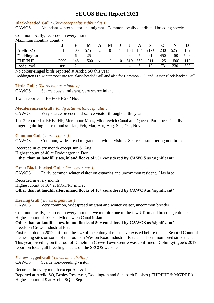#### **Black-headed Gull** *( Chroicocephalus ridibundus )*

CAWOS Abundant winter visitor and migrant. Common locally distributed breeding species

#### Common locally, recorded in every month Maximum monthly count -

|                | ۰J   |     | M   | A   | M   | w  | w   | A   | IJ     |     |        |      |
|----------------|------|-----|-----|-----|-----|----|-----|-----|--------|-----|--------|------|
| Arclid SO      | 81   | 400 | 575 |     |     |    | 103 | .54 | $217+$ | 230 | $525+$ | 132  |
| Doddington     |      |     | 25  |     |     |    | Q   |     | 91     | 450 | 150    | 5000 |
| <b>EHF/PHF</b> | 2000 | 146 | 500 | n/c | n/c | 10 | 310 | 350 | 211    | 125 | 1500   | 10   |
| Rode Pool      | n/c  |     |     |     |     |    |     |     | 19     | 73  | 230    | 300  |

No colour-ringed birds reported at Arclid SQ this year

Doddington is a winter roost site for Black-headed Gull and also for Common Gull and Lesser Black-backed Gull

#### **Little Gull** *( Hydrocoloeus minutus )*

CAWOS Scarce coastal migrant, very scarce inland

1 was reported at EHF/PHF 27th Nov

#### **Mediterranean Gull** *( Ichthyaetus melanocephalus )*

CAWOS Very scarce breeder and scarce visitor throughout the year

1 or 2 reported at EHF/PHF, Meremoor Moss, Middlewich Canal and Queens Park, occasionally lingering during these months: - Jan, Feb, Mar, Apr, Aug, Sep, Oct, Nov

#### **Common Gull** *( Larus canus )*

CAWOS Common, widespread migrant and winter visitor. Scarce as summering non-breeder

Recorded in every month except Jun & Aug Highest count of 40 at Doddington in Dec **Other than at landfill sites, inland flocks of 50+ considered by CAWOS as 'significant'**

#### **Great Black-backed Gull** *( Larus marinus )*

CAWOS Fairly common winter visitor on estuaries and uncommon resident. Has bred

Recorded in every month Highest count of 104 at MGT/RF in Dec **Other than at landfill sites, inland flocks of 10+ considered by CAWOS as 'significant'**

#### **Herring Gull** *( Larus argentatus )*

CAWOS Very common, widespread migrant and winter visitor, uncommon breeder

Common locally, recorded in every month – we monitor one of the few UK inland breeding colonies Highest count of 1000 at Middlewich Canal in Jan

#### **Other than at landfill sites, inland flocks of 50+ considered by CAWOS as 'significant'** breeds on Crewe Industrial Estate

First recorded in 2012 but from the size of the colony it must have existed before then, a Seabird Count of the nesting sites on some of the roofs on Weston Road Industrial Estate has been monitored since then. This year, breeding on the roof of Dunelm in Crewe Town Centre was confirmed. Colin Lythgoe's 2019 report on local gull breeding sites is on the SECOS website

#### **Yellow-legged Gull** *( Larus michahellis )*

CAWOS Scarce non-breeding visitor

Recorded in every month except Apr & Jun Reported at Arclid SQ, Bosley Reservoir, Doddington and Sandbach Flashes ( EHF/PHF & MGT/RF ) Highest count of 9 at Arclid SQ in Sep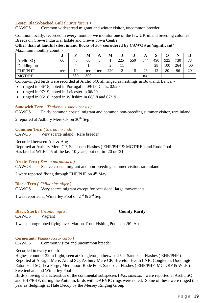#### **Lesser Black-backed Gull** *( Larus fuscus )*

CAWOS Common widespread migrant and winter visitor, uncommon breeder

Common locally, recorded in every month – we monitor one of the few UK inland breeding colonies Breeds on Crewe Industrial Estate and Crewe Town Centre

**Other than at landfill sites, inland flocks of 50+ considered by CAWOS as 'significant'** Maximum monthly count: -

|                | ு   |     | M   | A   | M   | IJ            | w      | A   | $\mathbf{C}$<br>N |     | . . |     |
|----------------|-----|-----|-----|-----|-----|---------------|--------|-----|-------------------|-----|-----|-----|
| Arclid SQ      | 66  | 43  | 60  | ت   |     | $225 +$<br>رے | $550+$ | 544 | 490               | 925 | 730 | 78  |
| Doddington     |     |     |     |     | ∠   | . .           |        |     | 28                | 100 | 264 | 400 |
| <b>EHF/PHF</b> | n/c | 10  | n/c | n/c | 220 | ⌒<br>∸        | ن 1    | 26  | 12                | 80  | 96  | 20  |
| MGT/RF         |     | 350 | 300 |     |     |               |        | n/c |                   |     |     |     |

Colour-ringed birds were recorded at Arclid SQ; all ringed as nestlings in Bowland, Lancs: -

- ringed in  $06/18$ , noted in Portugal in  $09/18$ , Cadiz  $02/20$
- ringed in  $07/19$ , noted in Leicester in  $06/20$
- ringed in  $06/18$ , noted in Wiltshire in  $08/18$  and  $07/19$

#### **Sandwich Tern** *( Thalasseus sandvicensis )*

CAWOS Fairly common coastal migrant and common non-breeding summer visitor, rare inland

2 reported at Astbury Mere CP on  $30<sup>th</sup>$  Sep

#### **Common Tern** *( Sterna hirundo )*

CAWOS Very scarce inland. Rare breeder

Recorded between Apr & Aug

Reported at Astbury Mere CP, Sandbach Flashes ( EHF/PHF & MGT/RF ) and Rode Pool Has bred at WLF in 5 of the last 10 years, but not in '20 or '21

#### **Arctic Tern** *( Sterna paradisaea )*

CAWOS Scarce coastal migrant and non-breeding summer visitor, rare inland

2 were reported flying through EHF/PHF on  $4<sup>th</sup>$  May

#### **Black Tern** *( Chlidonias niger )*

CAWOS Very scarce migrant except for occasional large movements

1 was reported at Winterley Pool on  $2<sup>nd</sup>$  &  $3<sup>rd</sup>$  Sep

# **Black Stork** *( Ciconia nigra )* **County Rarity**

CAWOS Vagrant

1 was photographed flying over Marton Trout Fishing Pools on 26<sup>th</sup> Apr

#### **Cormorant** *( Phalacrocorax carbo )*

CAWOS Common visitor and uncommon breeder

#### Recorded in every month

Highest count of 32 in flight, seen at Congleton, otherwise 25 at Sandbach Flashes ( EHF/PHF ) Reported at Alsager Mere, Arclid SQ, Astbury Mere CP, Brereton Heath LNR, Congleton, Doddington, Eaton Hall SQ, Lea Forge, Meremoor, Rode Pool, Sandbach Flashes ( EHF/PHF, MGT/RF & WLF ) Swettenham and Winterley Pool

Birds showing characteristics of the continental subspecies [ *P.c. sinensis* ] were reported at Arclid SQ and EHF/PHF; during the Autumn, birds with DARVIC rings were noted. Some of these were ringed this year as fledglings at Hale Decoy by the Mersey Ringing Group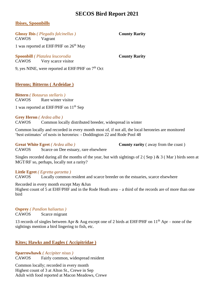#### <span id="page-19-0"></span>**Ibises, Spoonbills**

**Glossy Ibis** *( Plegadis falcinellus )* **County Rarity** CAWOS Vagrant

1 was reported at EHF/PHF on  $26<sup>th</sup>$  May

**Spoonbill** *( Platalea leucorodia* **County Rarity** CAWOS Very scarce visitor

9, yes NINE, were reported at EHF/PHF on  $7<sup>th</sup>$  Oct

### <span id="page-19-1"></span>**Herons; Bitterns ( Ardeidae )**

**Bittern** *( Botaurus stellaris )* CAWOS Rare winter visitor

1 was reported at EHF/PHF on  $11<sup>th</sup>$  Sep

#### **Grey Heron** *( Ardea alba )*

CAWOS Common locally distributed breeder, widespread in winter

Common locally and recorded in every month most of, if not all, the local heronries are monitored 'best estimates' of nests in heronries: - Doddington 22 and Rode Pool 48

**Great White Egret** (*Ardea alba* ) **County rarity** (away from the coast)

Singles recorded during all the months of the year, but with sightings of 2 (Sep) & 3 (Mar) birds seen at MGT/RF so, perhaps, locally not a rarity?

#### **Little Egret** *( Egretta garzetta )*

CAWOS Locally common resident and scarce breeder on the estuaries, scarce elsewhere

Recorded in every month except May &Jun

CAWOS Scarce on Dee estuary, rare elsewhere

Highest count of 5 at EHF/PHF and in the Rode Heath area – a third of the records are of more than one bird

**Osprey** *( Pandion haliaetus )*

CAWOS Scarce migrant

13 records of singles between Apr & Aug except one of 2 birds at EHF/PHF on  $11<sup>th</sup>$  Apr – none of the sightings mention a bird lingering to fish, etc.

### <span id="page-19-2"></span>**Kites; Hawks and Eagles ( Accipitridae )**

#### **Sparrowhawk** *( Accipiter nisus )*

CAWOS Fairly common, widespread resident

Common locally; recorded in every month Highest count of 3 at Alton St., Crewe in Sep Adult with food reported at Macon Meadows, Crewe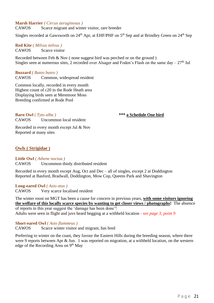#### **Marsh Harrier** *( Circus aeruginosus )*

CAWOS Scarce migrant and winter visitor, rare breeder

Singles recorded at Gawsworth on 24<sup>th</sup> Apr, at EHF/PHF on 5<sup>th</sup> Sep and at Brindley Green on 24<sup>th</sup> Sep

**Red Kite** *( Milvus milvus )* CAWOS Scarce visitor

Recorded between Feb & Nov ( none suggest bird was perched or on the ground ) Singles seen at numerous sites, 2 recorded over Alsager and Foden's Flash on the same day –  $27<sup>th</sup>$  Jul

**Buzzard** *( Buteo buteo )* CAWOS Common, widespread resident

Common locally, recorded in every month Highest count of c20 in the Rode Heath area Displaying birds seen at Meremoor Moss Breeding confirmed at Rode Pool

**Barn Owl** *( Tyto alba )* **\*\*\* a Schedule One bird**

CAWOS Uncommon local resident

Recorded in every month except Jul & Nov Reported at many sites

#### <span id="page-20-0"></span>**Owls ( Strigidae )**

**Little Owl** *( Athene noctua )* CAWOS Uncommon thinly distributed resident

Recorded in every month except Aug, Oct and Dec – all of singles, except 2 at Doddington Reported at Basford, Bradwall, Doddington, Mow Cop, Queens Park and Shavington

#### **Long-eared Owl** *( Asio otus )*

CAWOS Very scarce localised resident

The winter roost on MGT has been a cause for concern in previous years, **with some visitors ignoring the welfare of this locally scarce species by wanting to get closer views / photographs!** The absence of reports in this year suggest the 'damage has been done'! Adults were seen in flight and juvs heard begging at a withheld location - *see page 3, point 9*

**Short-eared Owl** *( Asio flammeus )*

CAWOS Scarce winter visitor and migrant, has bred

Preferring to winter on the coast, they favour the Eastern Hills during the breeding season, where there were 9 reports between Apr & Jun. 1 was reported on migration, at a withheld location, on the western edge of the Recording Area on  $9<sup>th</sup>$  May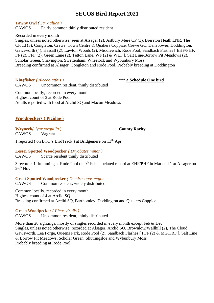**Tawny Owl** *( Strix aluco )*

CAWOS Fairly common thinly distributed resident

Recorded in every month

Singles, unless noted otherwise, seen at Alsager (2), Astbury Mere CP (3), Brereton Heath LNR, The Cloud (3), Congleton, Crewe: Town Centre & Quakers Coppice, Crewe GC, Danebower, Doddington, Gawsworth (4), Hassall (2), Lawton Woods (2), Middlewich, Rode Pool, Sandbach Flashes [ EHF/PHF, FF (2), FFF (2), Green Lane (2), Tetton Lane, WF (2) & WLF ], Salt Line/Borrow Pit Meadows (2), Scholar Green, Shavington, Swettenham, Wheelock and Wybunbury Moss Breeding confirmed at Alsager, Congleton and Rode Pool. Probably breeding at Doddington

**Kingfisher** *( Alcedo atthis )* **\*\*\* a Schedule One bird**

CAWOS Uncommon resident, thinly distributed

Common locally, recorded in every month Highest count of 3 at Rode Pool Adults reported with food at Arclid SQ and Macon Meadows

### <span id="page-21-0"></span>**Woodpeckers ( Picidae )**

#### **Wryneck***( Jynx torquilla )* **County Rarity** CAWOS Vagrant

1 reported ( on BTO's BirdTrack ) at Bridgemere on 13th Apr

### **Lesser Spotted Woodpecker** *( Dryobates minor )*

CAWOS Scarce resident thinly distributed

3 records: 1 drumming at Rode Pool on 9<sup>th</sup> Feb, a belated record at EHF/PHF in Mar and 1 at Alsager on  $26^{th}$  Nov

**Great Spotted Woodpecker** *( Dendrocopos major* CAWOS Common resident, widely distributed

Common locally, recorded in every month Highest count of 4 at Arclid SQ Breeding confirmed at Arclid SQ, Barthomley, Doddington and Quakers Coppice

**Green Woodpecker** *( Picus viridis )* CAWOS Uncommon resident, thinly distributed

More than 20 sightings, mostly of singles recorded in every month except Feb & Dec Singles, unless noted otherwise, recorded at Alsager, Arclid SQ, Brownlow/Wallhill (2), The Cloud, Gawsworth, Lea Forge, Queens Park, Rode Pool (2), Sandbach Flashes [ FFF (2) & MGT/RF ], Salt Line & Borrow Pit Meadows, Scholar Green, Shutlingsloe and Wybunbury Moss Probably breeding at Rode Pool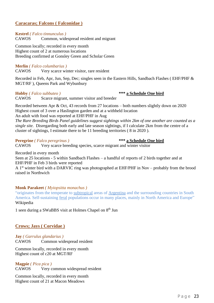#### <span id="page-22-0"></span>**Caracaras; Falcons ( Falconidae )**

**Kestrel** *( Falco tinnunculus )* CAWOS Common, widespread resident and migrant

Common locally; recorded in every month Highest count of 2 at numerous locations Breeding confirmed at Gonsley Green and Scholar Green

#### **Merlin** *( Falco columbarius )*

CAWOS Very scarce winter visitor, rare resident

Recorded in Feb, Apr, Jun, Sep, Dec; singles seen in the Eastern Hills, Sandbach Flashes ( EHF/PHF & MGT/RF ), Queens Park and Wybunbury

#### **Hobby** *( Falco subbuteo )* **\*\*\* a Schedule One bird**

CAWOS Scarce migrant, summer visitor and breeder

Recorded between Apr & Oct, 43 records from 27 locations – both numbers slightly down on 2020 Highest count of 3 over a Haslington garden and at a withheld location

An adult with food was reported at EHF/PHF in Aug

*The Rare Breeding Birds Panel guidelines suggest sightings within 2km of one another are counted as a single site.* Disregarding both early and late season sightings, if I calculate 2km from the centre of a cluster of sightings, I estimate there to be 11 breeding territories ( 8 in 2020 ).

#### **Peregrine** *( Falco peregrinus )* **\*\*\* a Schedule One bird**

CAWOS Very scarce breeding species, scarce migrant and winter visitor

Recorded in every month

Seen at 25 locations - 5 within Sandbach Flashes – a handful of reports of 2 birds together and at EHF/PHF in Feb 3 birds were reported

A 1<sup>st</sup> winter bird with a DARVIC ring was photographed at EHF/PHF in Nov – probably from the brood raised in Northwich

#### **Monk Parakeet** *( Myiopsitta monachus )*

"originates from the temperate to [subtropical](https://en.wikipedia.org/wiki/Subtropical) areas of [Argentina](https://en.wikipedia.org/wiki/Argentina) and the surrounding countries in South America. Self-sustaining [feral](https://en.wikipedia.org/wiki/Feral) populations occur in many places, mainly in North America and Europe" Wikipedia

1 seen during a SWaBBS visit at Holmes Chapel on 8<sup>th</sup> Jun

#### <span id="page-22-1"></span>**Crows; Jays ( Corvidae )**

**Jay** *( Garrulus glandarius )* CAWOS Common widespread resident

Common locally, recorded in every month Highest count of c20 at MGT/RF

**Magpie** *( Pica pica )* CAWOS Very common widespread resident

Common locally, recorded in every month Highest count of 21 at Macon Meadows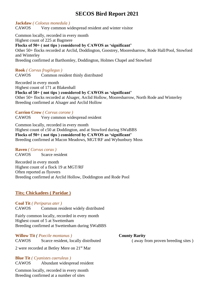**Jackdaw** *( Coloeus monedula )* CAWOS Very common widespread resident and winter visitor

Common locally, recorded in every month Highest count of 225 at Bagmere **Flocks of 50+ ( not tips ) considered by CAWOS as 'significant'** Other 50+ flocks recorded at Arclid, Doddington, Goostrey, Mooresbarrow, Rode Hall/Pool, Stowford and Winterley Breeding confirmed at Barthomley, Doddington, Holmes Chapel and Stowford

#### **Rook** *( Corvus frugilegus )*

CAWOS Common resident thinly distributed

Recorded in every month Highest count of 171 at Blakenhall **Flocks of 50+ ( not tips ) considered by CAWOS as 'significant'** Other 50+ flocks recorded at Alsager, Arclid Hollow, Mooresbarrow, North Rode and Winterley Breeding confirmed at Alsager and Arclid Hollow

#### **Carrion Crow** *( Corvus corone )*

CAWOS Very common widespread resident

Common locally, recorded in every month Highest count of c50 at Doddington, and at Stowford during SWaBBS **Flocks of 50+ ( not tips ) considered by CAWOS as 'significant'** Breeding confirmed at Macon Meadows, MGT/RF and Wybunbury Moss

#### **Raven** *( Corvus corax )*

CAWOS Scarce resident

Recorded in every month Highest count of a flock 19 at MGT/RF Often reported as flyovers Breeding confirmed at Arclid Hollow, Doddington and Rode Pool

#### <span id="page-23-0"></span>**Tits; Chickadees ( Paridae )**

#### **Coal Tit** *( Periparus ater )*

CAWOS Common resident widely distributed

Fairly common locally, recorded in every month Highest count of 5 at Swettenham Breeding confirmed at Swettenham during SWaBBS

**Willow Tit** *( Poecile montanus )* **County Rarity** CAWOS Scarce resident, locally distributed ( away from proven breeding sites )

2 were recorded at Betley Mere on 21st Mar

**Blue Tit** *( Cyanistes caeruleus )* CAWOS Abundant widespread resident

Common locally, recorded in every month Breeding confirmed at a number of sites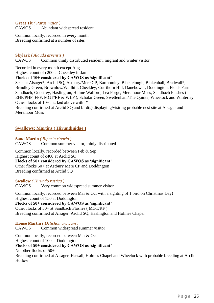**Great Tit** *( Parus major )* CAWOS Abundant widespread resident

Common locally, recorded in every month Breeding confirmed at a number of sites

#### **Skylark** *( Alauda arvensis )*

CAWOS Common thinly distributed resident, migrant and winter visitor

Recorded in every month except Aug

Highest count of c200 at Checkley in Jan

#### **Flocks of 10+ considered by CAWOS as 'significant'**

Seen at Alsager\*, Arclid SQ, Astbury/Mere CP, Barthomley, Blackclough, Blakenhall, Bradwall\*, Brindley Green, Brownlow/Wallhill, Checkley, Cut-thorn Hill, Danebower, Doddington, Fields Farm Sandbach, Goostrey, Haslington, Hulme Walford, Lea Forge, Meremoor Moss, Sandbach Flashes ( EHF/PHF, FFF, MGT/RF & WLF ), Scholar Green, Swettenham/The Quinta, Wheelock and Winterley Other flocks of 10+ marked above with '\*'

Breeding confirmed at Arclid SQ and bird(s) displaying/visiting probable nest site at Alsager and Meremoor Moss

#### <span id="page-24-0"></span>**Swallows; Martins ( Hirundinidae )**

**Sand Martin** *( Riparia riparia )* CAWOS Common summer visitor, thinly distributed

Common locally, recorded between Feb & Sep Highest count of c400 at Arclid SQ **Flocks of 50+ considered by CAWOS as 'significant'** Other flocks 50+ at Astbury Mere CP and Doddington Breeding confirmed at Arclid SQ

#### **Swallow** *( Hirundo rustica )*

CAWOS Very common widespread summer visitor

Common locally, recorded between Mar & Oct with a sighting of 1 bird on Christmas Day! Highest count of 150 at Doddington **Flocks of 50+ considered by CAWOS as 'significant'** Other flocks of 50+ at Sandbach Flashes ( MGT/RF ) Breeding confirmed at Alsager, Arclid SQ, Haslington and Holmes Chapel

#### **House Martin** *( Delichon urbicum )*

CAWOS Common widespread summer visitor

Common locally, recorded between Mar & Oct Highest count of 100 at Doddington **Flocks of 50+ considered by CAWOS as 'significant'** No other flocks of 50+ Breeding confirmed at Alsager, Hassall, Holmes Chapel and Wheelock with probable breeding at Arclid Hollow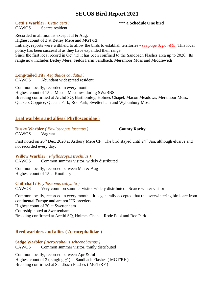**Cetti's Warbler** *( Cettia cetti )* **\*\*\* a Schedule One bird**

CAWOS Scarce resident

Recorded in all months except Jul & Aug. Highest count of 3 at Betley Mere and MGT/RF

Initially, reports were withheld to allow the birds to establish territories *- see page 3, point 9.* This local policy has been successful as they have expanded their range.

Since the first local record in Oct '15 it has been confined to the Sandbach Flashes area up to 2020. Its range now includes Betley Mere, Fields Farm Sandbach, Meremoor Moss and Middlewich

#### **Long-tailed Tit** *( Aegithalos caudatus )*

CAWOS Abundant widespread resident

Common locally, recorded in every month Highest count of 15 at Macon Meadows during SWaBBS Breeding confirmed at Arclid SQ, Barthomley, Holmes Chapel, Macon Meadows, Meremoor Moss, Quakers Coppice, Queens Park, Roe Park, Swettenham and Wybunbury Moss

### <span id="page-25-0"></span>**Leaf warblers and allies ( Phylloscopidae )**

**Dusky Warbler** *( Phylloscopus fuscatus )* **County Rarity** CAWOS Vagrant

First noted on 20<sup>th</sup> Dec. 2020 at Astbury Mere CP. The bird stayed until 24<sup>th</sup> Jan, although elusive and not recorded every day.

**Willow Warbler** *( Phylloscopus trochilus )* CAWOS Common summer visitor, widely distributed

Common locally, recorded between Mar & Aug Highest count of 15 at Knotbury

#### **Chiffchaff** *( Phylloscopus collybita )*

CAWOS Very common summer visitor widely distributed. Scarce winter visitor

Common locally, recorded in every month – it is generally accepted that the overwintering birds are from continental Europe and are not UK breeders Highest count of 20 at Swettenham Courtship noted at Swettenham Breeding confirmed at Arclid SQ, Holmes Chapel, Rode Pool and Roe Park

### <span id="page-25-1"></span>**Reed warblers and allies ( Acrocephalidae )**

**Sedge Warbler** *( Acrocephalus schoenobaenus )* CAWOS Common summer visitor, thinly distributed

Common locally, recorded between Apr & Jul Highest count of 3 (singing  $\delta$ ) at Sandbach Flashes (MGT/RF) Breeding confirmed at Sandbach Flashes ( MGT/RF )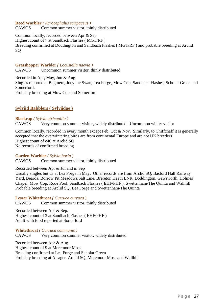#### **Reed Warbler** *( Acrocephalus scirpaceus )*

CAWOS Common summer visitor, thinly distributed

Common locally, recorded between Apr & Sep Highest count of 7 at Sandbach Flashes ( MGT/RF ) Breeding confirmed at Doddington and Sandbach Flashes ( MGT/RF ) and probable breeding at Arclid SQ

#### **Grasshopper Warbler** *( Locustella naevia )*

CAWOS Uncommon summer visitor, thinly distributed

Recorded in Apr, May, Jun & Aug Singles reported at Bagmere, Joey the Swan, Lea Forge, Mow Cop, Sandbach Flashes, Scholar Green and Somerford. Probably breeding at Mow Cop and Somerford

#### <span id="page-26-0"></span>**Sylviid Babblers ( Sylviidae )**

#### **Blackcap** *( Sylvia atricapilla )*

CAWOS Very common summer visitor, widely distributed. Uncommon winter visitor

Common locally, recorded in every month except Feb, Oct & Nov. Similarly, to Chiffchaff it is generally accepted that the overwintering birds are from continental Europe and are not UK breeders Highest count of c40 at Arclid SQ No records of confirmed breeding

**Garden Warbler** *( Sylvia borin )* CAWOS Common summer visitor, thinly distributed

Recorded between Apr & Jul and in Sep

Usually singles but c3 at Lea Forge in May. Other records are from Arclid SQ, Basford Hall Railway Yard, Bearda, Borrow Pit Meadows/Salt Line, Brereton Heath LNR, Doddington, Gawsworth, Holmes Chapel, Mow Cop, Rode Pool, Sandbach Flashes ( EHF/PHF ), Swettenham/The Quinta and Wallhill Probable breeding at Arclid SQ, Lea Forge and Swettenham/The Quinta

**Lesser Whitethroat** *( Curruca curruca )* CAWOS Common summer visitor, thinly distributed

Recorded between Apr & Sep. Highest count of 3 at Sandbach Flashes ( EHF/PHF ) Adult with food reported at Somerford

**Whitethroat** *( Curruca communis )*

CAWOS Very common summer visitor, widely distributed

Recorded between Apr & Aug. Highest count of 9 at Meremoor Moss Breeding confirmed at Lea Forge and Scholar Green Probably breeding at Alsager, Arclid SQ, Meremoor Moss and Wallhill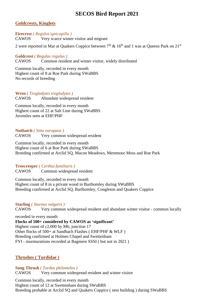#### <span id="page-27-0"></span>**Goldcrests, Kinglets**

**Firecrest** *( Regulus ignicapilla )* CAWOS Very scarce winter visitor and migrant

2 were reported in Mar at Quakers Coppice between  $7<sup>th</sup>$  & 16<sup>th</sup> and 1 was at Queens Park on 21<sup>st</sup>

**Goldcrest** *( Regulus regulus )* CAWOS Common resident and winter visitor, widely distributed

Common locally, recorded in every month Highest count of 8 at Roe Park during SWaBBS No records of breeding

### **Wren** *( Troglodytes troglodytes )*

CAWOS Abundant widespread resident

Common locally, recorded in every month Highest count of 22 at Salt Line during SWaBBS Juveniles seen at EHF/PHF

**Nuthatch** *( Sitta europaea )* CAWOS Very common widespread resident

Common locally, recorded in every month Highest count of 6 at Roe Park during SWaBBS Breeding confirmed at Arclid SQ, Macon Meadows, Meremoor Moss and Roe Park

**Treecreeper** *( Certhia familiaris )*

CAWOS Common widespread resident

Common locally, recorded in every month Highest count of 8 in a private wood in Barthomley during SWaBBS Breeding confirmed at Arclid SQ, Barthomley, Congleton and Quakers Coppice

#### **Starling** *( Sturnus vulgaris )*

CAWOS Very common widespread resident and abundant winter visitor - common locally

recorded in every month

**Flocks of 500+ considered by CAWOS as 'significant'**

Highest count of c2,000 by M6, junction 17 Other flocks of 500+ at Sandbach Flashes ( EHF/PHF & WLF )

Breeding confirmed at Holmes Chapel and Swettenham

FYI - murmurations recorded at Bagmere SSSI ( but not in 2021 )

### <span id="page-27-1"></span>**Thrushes ( Turdidae )**

**Song Thrush** *( Turdus philomelos )* CAWOS Very common widespread resident and winter visitor

Common locally, recorded in every month Highest count of 12 at Swettenham during SWaBBS Breeding probable at Arclid SQ and Quakers Coppice ( nest building ) during SWaBBS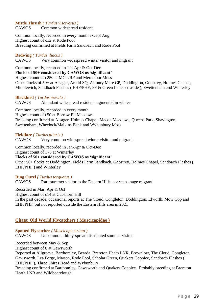#### **Mistle Thrush** *( Turdus viscivorus )* CAWOS Common widespread resident

Common locally, recorded in every month except Aug Highest count of c12 at Rode Pool Breeding confirmed at Fields Farm Sandbach and Rode Pool

#### **Redwing** *( Turdus iliacus )*

CAWOS Very common widespread winter visitor and migrant

Common locally, recorded in Jan-Apr & Oct-Dec

**Flocks of 50+ considered by CAWOS as 'significant'**

Highest count of c250 at MGT/RF and Meremoor Moss

Other flocks of 50+ at Alsager, Arclid SQ, Astbury Mere CP, Doddington, Goostrey, Holmes Chapel, Middlewich, Sandbach Flashes ( EHF/PHF, FF & Green Lane set-aside ), Swettenham and Winterley

#### **Blackbird** *( Turdus merula )*

CAWOS Abundant widespread resident augmented in winter

Common locally, recorded in every month Highest count of c50 at Borrow Pit Meadows Breeding confirmed at Alsager, Holmes Chapel, Macon Meadows, Queens Park, Shavington, Swettenham, Wheelock/Malkins Bank and Wybunbury Moss

#### **Fieldfare** *( Turdus pilaris )*

CAWOS Very common widespread winter visitor and migrant

Common locally, recorded in Jan-Apr & Oct-Dec

Highest count of 175 at Winterley

#### **Flocks of 50+ considered by CAWOS as 'significant'**

Other 50+ flocks at Doddington, Fields Farm Sandbach, Goostrey, Holmes Chapel, Sandbach Flashes ( EHF/PHF ) and Winterley

#### **Ring Ouzel** *( Turdus torquatus )*

CAWOS Rare summer visitor to the Eastern Hills, scarce passage migrant

Recorded in Mar, Apr & Oct

Highest count of c14 at Cut-thorn Hill

In the past decade, occasional reports at The Cloud, Congleton, Doddington, Elworth, Mow Cop and EHF/PHF, but not reported outside the Eastern Hills area in 2021

#### <span id="page-28-0"></span>**Chats; Old World Flycatchers ( Muscicapidae )**

**Spotted Flycatcher** *( Muscicapa striata )*

CAWOS Uncommon, thinly-spread distributed summer visitor

Recorded between May & Sep

Highest count of 8 at Gawsworth

Reported at Allgreave, Barthomley, Bearda, Brereton Heath LNR, Brownlow, The Cloud, Congleton, Gawsworth, Lea Forge, Marton, Rode Pool, Scholar Green, Quakers Coppice, Sandbach Flashes ( EHF/PHF ), Three Shires Head and Wybunbury.

Breeding confirmed at Barthomley, Gawsworth and Quakers Coppice. Probably breeding at Brereton Heath LNR and Wildboarclough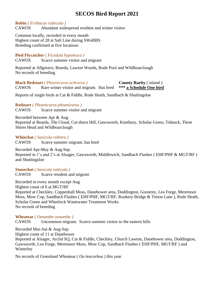#### **Robin** *( Erithacus rubecula )*

CAWOS Abundant widespread resident and winter visitor

Common locally, recorded in every month Highest count of 28 at Salt Line during SWaBBS Breeding confirmed at five locations

#### **Pied Flycatcher** *( Ficedula hypoleuca )*

CAWOS Scarce summer visitor and migrant

Reported at Allgreave, Bearda, Lawton Woods, Rode Pool and Wildboarclough No records of breeding

**Black Redstart** *( Phoenicurus ochruros )* **County Rarity** ( inland ) CAWOS Rare winter visitor and migrant. Has bred **\*\*\* a Schedule One bird**

Reports of single birds at Cat & Fiddle, Rode Heath, Sandbach & Shutlingsloe

**Redstart** *( Phoenicurus phoenicurus )* CAWOS Scarce summer visitor and migrant

Recorded between Apr & Aug.

Reported at Bearda, The Cloud, Cut-thorn Hill, Gawsworth, Knotbury, Scholar Green, Tidnock, Three Shires Head and Wildboarclough

**Whinchat** *( Saxicola rubetra )* CAWOS Scarce summer migrant, has bred

Recorded Apr-May & Aug-Sep. Reported in 1's and 2's at Alsager, Gawsworth, Middlewich, Sandbach Flashes ( EHF/PHF & MGT/RF ) and Shutlingsloe

**Stonechat** *( Saxicola rubicola )* CAWOS Scarce resident and migrant

Recorded in every month except Aug Highest count of 6 at MGT/RF Reported at Checkley, Coppenhall Moss, Danebower area, Doddington, Goostrey, Lea Forge, Meremoor Moss, Mow Cop, Sandbach Flashes ( EHF/PHF, MGT/RF, Rookery Bridge & Tetton Lane ), Rode Heath, Scholar Green and Wheelock Wastewater Treatment Works No records of breeding

**Wheatear** *( Oenanthe oenanthe )*

CAWOS Uncommon migrant. Scarce summer visitor to the eastern hills

Recorded Mar-Jun & Aug-Sep. Highest count of 11 at Danebower Reported at Alsager, Arclid SQ, Cat & Fiddle, Checkley, Church Lawton, Danebower area, Doddington, Gawsworth, Lea Forge, Meremoor Moss, Mow Cop, Sandbach Flashes ( EHF/PHF, MGT/RF ) and Winterley

No records of Greenland Wheatear *( Oo leucorhoa )* this year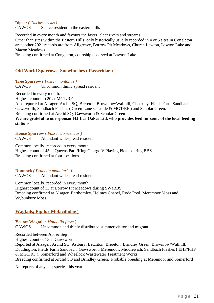#### **Dipper** *( Cinclus cinclus )*

CAWOS Scarce resident in the eastern hills

Recorded in every month and favours the faster, clear rivers and streams.

Other than sites within the Eastern Hills, only historically usually recorded in 4 or 5 sites in Congleton area, other 2021 records are from Allgreave, Borrow Pit Meadows, Church Lawton, Lawton Lake and Macon Meadows

Breeding confirmed at Congleton, courtship observed at Lawton Lake

#### <span id="page-30-0"></span>**Old World Sparrows; Snowfinches ( Passeridae )**

**Tree Sparrow** *( Passer montanus )* CAWOS Uncommon thinly spread resident

Recorded in every month.

Highest count of c20 at MGT/RF.

Also reported at Alsager, Arclid SQ, Brereton, Brownlow/Wallhill, Checkley, Fields Farm Sandbach, Gawsworth, Sandbach Flashes ( Green Lane set aside & MGT/RF ) and Scholar Green.

Breeding confirmed at Arclid SQ, Gawsworth & Scholar Green

#### **We are grateful to our sponsor HJ Lea Oakes Ltd, who provides feed for some of the local feeding stations**

**House Sparrow** *( Passer domesticus )* CAWOS Abundant widespread resident

Common locally, recorded in every month Highest count of 45 at Queens Park/King George V Playing Fields during BBS Breeding confirmed at four locations

**Dunnock** *( Prunella modularis )*

CAWOS Abundant widespread resident

Common locally, recorded in every month Highest count of 13 at Borrow Pit Meadows during SWaBBS Breeding confirmed at Alsager, Barthomley, Holmes Chapel, Rode Pool, Meremoor Moss and Wybunbury Moss

#### <span id="page-30-1"></span>**Wagtails; Pipits ( Motacillidae )**

**Yellow Wagtail** *( Motacilla flava )* CAWOS Uncommon and thinly distributed summer visitor and migrant

Recorded between Apr & Sep Highest count of 13 at Gawsworth Reported at Alsager, Arclid SQ, Astbury, Betchton, Brereton, Brindley Green, Brownlow/Wallhill, Doddington, Fields Farm Sandbach, Gawsworth, Meremoor, Middlewich, Sandbach Flashes ( EHF/PHF & MGT/RF ), Somerford and Wheelock Wastewater Treatment Works Breeding confirmed at Arclid SQ and Brindley Green. Probable breeding at Meremoor and Somerford

No reports of any sub-species this year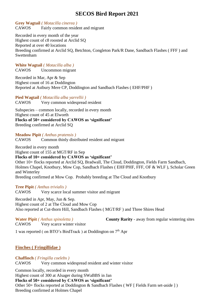**Grey Wagtail** *( Motacilla cinerea )*

CAWOS Fairly common resident and migrant

Recorded in every month of the year Highest count of c8 roosted at Arclid SQ Reported at over 40 locations Breeding confirmed at Arclid SQ, Betchton, Congleton Park/R Dane, Sandbach Flashes ( FFF ) and Swettenham

#### **White Wagtail** *( Motacilla alba )*

CAWOS Uncommon migrant

Recorded in Mar, Apr & Sep Highest count of 16 at Doddington Reported at Astbury Mere CP, Doddington and Sandbach Flashes ( EHF/PHF )

**Pied Wagtail** *( Motacilla alba yarrellii )*

CAWOS Very common widespread resident

Subspecies – common locally, recorded in every month Highest count of 45 at Elworth **Flocks of 50+ considered by CAWOS as 'significant'** Breeding confirmed at Arclid SQ

**Meadow Pipit** *( Anthus pratensis )*

CAWOS Common thinly distributed resident and migrant

Recorded in every month Highest count of 155 at MGT/RF in Sep

#### **Flocks of 10+ considered by CAWOS as 'significant'**

Other 10+ flocks reported at Arclid SQ, Bradwall, The Cloud, Doddington, Fields Farm Sandbach, Holmes Chapel, Knotbury, Mow Cop, Sandbach Flashes ( EHF/PHF, FFF, OF & WLF ), Scholar Green and Winterley

Breeding confirmed at Mow Cop. Probably breeding at The Cloud and Knotbury

#### **Tree Pipit** *( Anthus trivialis )*

CAWOS Very scarce local summer visitor and migrant

Recorded in Apr, May, Jun & Sep. Highest count of 2 at The Cloud and Mow Cop Also reported at Cut-thorn Hill, Sandbach Flashes ( MGT/RF ) and Three Shires Head

CAWOS Very scarce winter visitor

**Water Pipit** *( Anthus spinoletta )* **County Rarity** - away from regular wintering sites

1 was reported (on BTO's BirdTrack) at Doddington on 7<sup>th</sup> Apr

#### <span id="page-31-0"></span>**Finches ( Fringillidae )**

#### **Chaffinch** *( Fringilla coelebs )*

CAWOS Very common widespread resident and winter visitor

Common locally, recorded in every month

Highest count of 300 at Alsager during SWaBBS in Jan

#### **Flocks of 50+ considered by CAWOS as 'significant'**

Other 50+ flocks reported at Doddington & Sandbach Flashes ( WF [ Fields Farm set-aside ] ) Breeding confirmed at Holmes Chapel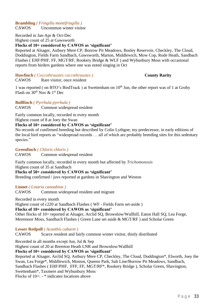## **Brambling** *( Fringilla montifringilla )*

CAWOS Uncommon winter visitor

Recorded in Jan-Apr & Oct-Dec

Highest count of 25 at Gawsworth

**Flocks of 10+ considered by CAWOS as 'significant'**

Reported at Alsager, Astbury Mere CP, Borrow Pit Meadows, Bosley Reservoir, Checkley, The Cloud, Doddington, Fields Farm Sandbach, Gawsworth, Marton, Middlewich, Mow Cop, Rode Heath, Sandbach Flashes ( EHF/PHF, FF, MGT/RF, Rookery Bridge & WLF ) and Wybunbury Moss with occasional reports from birders gardens where one was noted singing in Oct

#### **Hawfinch** *( Coccothraustes coccothraustes )* **County Rarity** CAWOS Rare visitor, once resident

1 was reported ( on BTO's BirdTrack ) at Swettenham on  $10<sup>th</sup>$  Jun, the other report was of 1 at Groby Flash on  $30^{th}$  Nov &  $1^{st}$  Dec

#### **Bullfinch** *( Pyrrhula pyrrhula )*

CAWOS Common widespread resident

Fairly common locally, recorded in every month

Highest count of 8 at Joey the Swan

#### **Flocks of 10+ considered by CAWOS as 'significant'**

No records of confirmed breeding but described by Colin Lythgoe, my predecessor, in early editions of the local bird reports as "widespread records … all of which are probably breeding sites for this sedentary species."

#### **Greenfinch** *( Chloris chloris )*

CAWOS Common widespread resident

Fairly common locally, recorded in every month but affected by *Trichomonosis* Highest count of 35 at Sandbach

**Flocks of 50+ considered by CAWOS as 'significant'**

Breeding confirmed / juvs reported at gardens in Shavington and Weston

#### **Linnet** *( Linaria cannabina )*

CAWOS Common widespread resident and migrant

Recorded in every month

Highest count of c220 at Sandbach Flashes ( WF - Fields Farm set-aside )

#### **Flocks of 10+ considered by CAWOS as 'significant'**

Other flocks of 10+ reported at Alsager, Arclid SQ, Brownlow/Wallhill, Eaton Hall SQ, Lea Forge, Meremoor Moss, Sandbach Flashes ( Green Lane set aside & MGT/RF ) and Scholar Green

**Lesser Redpoll** *( Acanthis cabaret )*

CAWOS Scarce resident and fairly common winter visitor, thinly distributed

Recorded in all months except Jun, Jul & Sep

Highest count of 20 at Brereton Heath LNR and Brownlow/Wallhill

#### **Flocks of 10+ considered by CAWOS as 'significant'**

Reported at Alsager, Arclid SQ, Astbury Mere CP, Checkley, The Cloud, Doddington\*, Elworth, Joey the Swan, Lea Forge\*, Middlewich, Moston, Queens Park, Salt Line/Borrow Pit Meadows, Sandbach, Sandbach Flashes ( EHF/PHF, FFF, FF, MGT/RF\*, Rookery Bridge ), Scholar Green, Shavington, Swettenham\*, Taxmere and Wybunbury Moss Flocks of 10+: - \* indicates locations above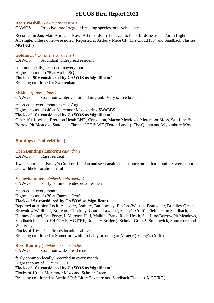#### **Red Crossbill** *( Loxia curvirostra )*

CAWOS Irruptive, rare irregular breeding species, otherwise scarce

Recorded in Jan, Mar, Apr, Oct, Nov. All records are believed to be of birds heard and/or in flight. All single, unless otherwise noted: Reported at Astbury Mere CP, The Cloud (30) and Sandbach Flashes ( MGT/RF )

**Goldfinch** *( Carduelis carduelis )* CAWOS Abundant widespread resident

common locally, recorded in every month Highest count of c75 at Arclid SQ **Flocks of 50+ considered by CAWOS as 'significant'** Breeding confirmed at Swettenham

#### **Siskin** *( Spinus spinus )*

CAWOS Common winter visitor and migrant. Very scarce breeder

recorded in every month except Aug

Highest count of c40 at Meremoor Moss during SWaBBS

**Flocks of 10+ considered by CAWOS as 'significant'**

Other 10+ flocks at Brereton Heath LNR, Congleton, Macon Meadows, Meremoor Moss, Salt Line & Borrow Pit Meadow, Sandbach Flashes ( FF & WF [Tetton Lane] ), The Quinta and Wybunbury Moss

#### <span id="page-33-0"></span>**Buntings ( Emberizidae )**

#### **Corn Bunting** *( Emberiza calandra )*

CAWOS Rare resident

1 was reported at Fanny's Croft on 12th Jan and seen again at least once more that month. 3 were reported at a withheld location in Jul

#### **Yellowhammer** *( Emberiza citronella )*

CAWOS Fairly common widespread resident

recorded in every month Highest count of c20 at Fanny's Croft

#### **Flocks of 5+ considered by CAWOS as 'significant'**

Reported at Albion Lock, Alsager\*, Astbury, Barthomley, Basford/Weston, Bradwall\*, Brindley Green, Brownlow/Wallhill\*, Brereton, Checkley, Church Lawton\*, Fanny's Croft\*, Fields Farm Sandbach, Holmes Chapel, Lea Forge, L Moreton Hall, Malkins Bank, Rode Heath, Salt Line/Borrow Pit Meadows, Sandbach Flashes ( EHF/PHF, MGT/RF, Rookery Bridge ), Scholar Green\*, Smethwick, Somerford and Winterley

Flocks of 10+: - \* indicates locations above Breeding confirmed at Somerford with probably breeding at Alsager ( Fanny's Croft )

**Reed Bunting** *( Emberiza schoeniclus )* CAWOS Common widespread resident

fairly common locally, recorded in every month Highest count of 15 at MGT/RF **Flocks of 10+ considered by CAWOS as 'significant'** Flocks of 10+ at Meremoor Moss and Scholar Green Breeding confirmed at Arclid SQ & Little Taxmere and Sandbach Flashes ( MGT/RF )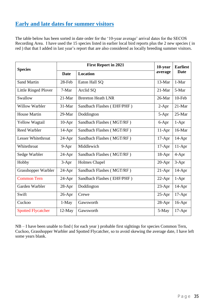### <span id="page-34-0"></span>**Early and late dates for summer visitors**

The table below has been sorted in date order for the '10-year average' arrival dates for the SECOS Recording Area. I have used the 15 species listed in earlier local bird reports plus the 2 new species ( in red ) that that I added in last year's report that are also considered as locally breeding summer visitors.

| <b>Species</b>              |             | 10-year                    | <b>Earliest</b> |             |
|-----------------------------|-------------|----------------------------|-----------------|-------------|
|                             | <b>Date</b> | <b>Location</b>            | average         | <b>Date</b> |
| <b>Sand Martin</b>          | 28-Feb      | Eaton Hall SQ              | 13-Mar          | 1-Mar       |
| <b>Little Ringed Plover</b> | 7-Mar       | Arclid SQ                  | $21-Mar$        | 5-Mar       |
| Swallow                     | 21-Mar      | <b>Brereton Heath LNR</b>  | 26-Mar          | 10-Feb      |
| <b>Willow Warbler</b>       | 31-Mar      | Sandbach Flashes (EHF/PHF) | $2-Apr$         | 21-Mar      |
| <b>House Martin</b>         | 29-Mar      | Doddington                 | 5-Apr           | 25-Mar      |
| Yellow Wagtail              | $10-Apr$    | Sandbach Flashes (MGT/RF)  | 6-Apr           | $1-Apr$     |
| <b>Reed Warbler</b>         | $14-Apr$    | Sandbach Flashes (MGT/RF)  | $11-Apr$        | 16-Mar      |
| <b>Lesser Whitethroat</b>   | 24-Apr      | Sandbach Flashes (MGT/RF)  | $17-Apr$        | $14-Apr$    |
| Whitethroat                 | 9-Apr       | Middlewich                 | $17-Apr$        | $11-Apr$    |
| Sedge Warbler               | $24$ -Apr   | Sandbach Flashes (MGT/RF)  | 18-Apr          | 4-Apr       |
| Hobby                       | 3-Apr       | <b>Holmes Chapel</b>       | 20-Apr          | 3-Apr       |
| Grasshopper Warbler         | 24-Apr      | Sandbach Flashes (MGT/RF)  | $21-Apr$        | $14-Apr$    |
| <b>Common Tern</b>          | 24-Apr      | Sandbach Flashes (EHF/PHF) | $22-Apr$        | $1-Apr$     |
| Garden Warbler              | 28-Apr      | Doddington                 | 23-Apr          | $14-Apr$    |
| Swift                       | 26-Apr      | Crewe                      | $25-Apr$        | $17-Apr$    |
| Cuckoo                      | $1-May$     | Gawsworth                  | 28-Apr          | $16-Apr$    |
| <b>Spotted Flycatcher</b>   | $12-May$    | Gawsworth                  | 5-May           | $17-Apr$    |

NB – I have been unable to find ( for each year ) probable first sightings for species Common Tern, Cuckoo, Grasshopper Warbler and Spotted Flycatcher, so to avoid skewing the average date, I have left some years blank.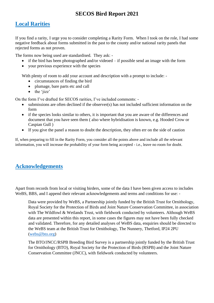### <span id="page-35-0"></span>**Local Rarities**

If you find a rarity, I urge you to consider completing a Rarity Form. When I took on the role, I had some negative feedback about forms submitted in the past to the county and/or national rarity panels that rejected forms as not proven.

The forms now being used are standardised. They ask: -

- if the bird has been photographed and/or videoed  $-$  if possible send an image with the form
- your previous experience with the species

With plenty of room to add your account and description with a prompt to include: -

- circumstances of finding the bird
- plumage, bare parts etc and call
- the 'jizz'

On the form I've drafted for SECOS rarities, I've included comments: -

- submissions are often declined if the observer(s) has not included sufficient information on the form
- if the species looks similar to others, it is important that you are aware of the differences and document that you have seen them ( also where hybridisation is known, e.g. Hooded Crow or Caspian Gull )
- If you give the panel a reason to doubt the description, they often err on the side of caution

If, when preparing to fill in the Rarity Form, you consider all the points above and include all the relevant information, you will increase the probability of your form being accepted - i.e., leave no room for doubt.

### <span id="page-35-1"></span>**Acknowledgements**

Apart from records from local or visiting birders, some of the data I have been given access to includes WeBS, BBS, and I append their relevant acknowledgements and terms and conditions for use: -

Data were provided by WeBS, a Partnership jointly funded by the British Trust for Ornithology, Royal Society for the Protection of Birds and Joint Nature Conservation Committee, in association with The Wildfowl & Wetlands Trust, with fieldwork conducted by volunteers. Although WeBS data are presented within this report, in some cases the figures may not have been fully checked and validated. Therefore, for any detailed analyses of WeBS data, enquiries should be directed to the WeBS team at the British Trust for Ornithology, The Nunnery, Thetford, IP24 2PU [\(webs@bto.org\)](mailto:webs@bto.org)

The BTO/JNCC/RSPB Breeding Bird Survey is a partnership jointly funded by the British Trust for Ornithology (BTO), Royal Society for the Protection of Birds (RSPB) and the Joint Nature Conservation Committee (JNCC), with fieldwork conducted by volunteers.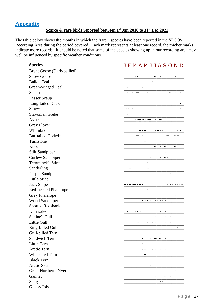### <span id="page-36-0"></span>**Appendix**

#### **Scarce & rare birds reported between 1st Jan 2010 to 31st Dec 2021**

The table below shows the months in which the 'rarer' species have been reported in the SECOS Recording Area during the period covered. Each mark represents at least one record, the thicker marks indicate more records. It should be noted that some of the species showing up in our recording area may well be influenced by specific weather conditions.

#### Species **J F M A M J J A S O N D**

| <b>Brent Goose (Dark-bellied</b> |
|----------------------------------|
| <b>Snow Goose</b>                |
| <b>Baikal Teal</b>               |
| Green-winged Teal                |
| Scaup                            |
| Lesser Scaup                     |
| <b>Long-tailed Duck</b>          |
| Smew                             |
| <b>Slavonian Grebe</b>           |
| Avocet                           |
| <b>Grey Plover</b>               |
| Whimbrel                         |
| <b>Bar-tailed Godwit</b>         |
| Turnstone                        |
| Knot                             |
| <b>Stilt Sandpiper</b>           |
| <b>Curlew Sandpiper</b>          |
| <b>Temminck's Stint</b>          |
| Sanderling                       |
| Purple Sandpiper                 |
| <b>Little Stint</b>              |
| <b>Jack Snipe</b>                |
| Red-necked Phalarope             |
| <b>Grey Phalarope</b>            |
| <b>Wood Sandpiper</b>            |
| <b>Spotted Redshank</b>          |
| Kittiwake                        |
| Sabine's Gull                    |
| Little Gull                      |
| Ring-billed Gull                 |
| Gull-billed Tern                 |
| <b>Sandwich Tern</b>             |
| Little Tern                      |
| <b>Arctic Tern</b>               |
| Whiskered Tern                   |
| <b>Black Tern</b>                |
| Arctic Skua                      |
| <b>Great Northern Diver</b>      |
| Gannet                           |
| Shag                             |
| Glossy This                      |

|                                   |                                  |           |                      |                      |                      |                       |           |                           | ັ         |                 |                      |                        |
|-----------------------------------|----------------------------------|-----------|----------------------|----------------------|----------------------|-----------------------|-----------|---------------------------|-----------|-----------------|----------------------|------------------------|
| <b>Brent Goose (Dark-bellied)</b> | ۰                                |           |                      |                      |                      |                       |           |                           |           |                 |                      |                        |
| <b>Snow Goose</b>                 | ۰                                |           | $\ddot{\phantom{0}}$ |                      |                      |                       | ۰.        |                           |           |                 |                      |                        |
| <b>Baikal Teal</b>                |                                  |           |                      |                      |                      | $\ddot{\phantom{0}}$  |           |                           |           |                 |                      |                        |
| Green-winged Teal                 | $\bullet$                        |           |                      | $\ddot{\phantom{0}}$ |                      |                       |           |                           |           |                 |                      |                        |
| Scaup                             |                                  | $\ddotsc$ | $\ddot{\phantom{1}}$ |                      |                      |                       |           |                           |           |                 | $\ddotsc$            | $\ddot{\phantom{0}}$ . |
| Lesser Scaup                      |                                  |           |                      |                      |                      |                       |           |                           |           |                 |                      |                        |
| Long-tailed Duck                  |                                  |           |                      |                      |                      |                       |           |                           |           |                 |                      | ٠                      |
| Smew                              |                                  | .         |                      |                      |                      |                       |           |                           |           |                 | $\bullet$            | $\bullet$              |
| <b>Slavonian Grebe</b>            | $\bullet$                        |           |                      |                      |                      |                       |           |                           |           |                 |                      |                        |
| Avocet                            |                                  |           |                      |                      | $\cdot$ ----         |                       | $\bullet$ | ۰                         |           |                 |                      |                        |
| <b>Grey Plover</b>                |                                  |           |                      |                      |                      |                       |           | ٠                         |           |                 |                      |                        |
| Whimbrel                          |                                  |           |                      | ⊷.                   | ۰.                   |                       | .         | $\ddotsc$                 |           |                 | ۰                    |                        |
| <b>Bar-tailed Godwit</b>          |                                  |           |                      | $\ddot{\phantom{0}}$ |                      |                       |           |                           |           |                 |                      |                        |
| Turnstone                         |                                  |           |                      |                      | ۰.                   |                       |           | $\ddot{\phantom{0}}$      |           |                 |                      |                        |
| Knot                              |                                  |           |                      |                      |                      |                       | --        |                           |           |                 |                      |                        |
| <b>Stilt Sandpiper</b>            |                                  |           |                      |                      |                      |                       |           |                           | ۰         |                 |                      |                        |
| <b>Curlew Sandpiper</b>           |                                  |           |                      |                      |                      | ٠                     |           |                           |           |                 |                      |                        |
| Temminck's Stint                  |                                  |           |                      |                      |                      |                       |           |                           |           |                 |                      |                        |
| Sanderling                        |                                  |           |                      |                      | .                    |                       |           |                           |           |                 |                      |                        |
| <b>Purple Sandpiper</b>           |                                  |           |                      |                      |                      |                       |           |                           |           | ٠               |                      |                        |
| Little Stint                      |                                  |           |                      |                      |                      |                       |           | . .-                      |           | ۰               |                      |                        |
| Jack Snipe                        |                                  |           |                      |                      |                      |                       |           |                           | ٠         | $\cdot$ $\cdot$ |                      | $\cdot \cdot$ .        |
| Red-necked Phalarope              |                                  |           |                      |                      |                      |                       |           |                           |           |                 |                      |                        |
| <b>Grey Phalarope</b>             |                                  |           |                      |                      |                      |                       |           |                           |           |                 |                      |                        |
| <b>Wood Sandpiper</b>             |                                  |           |                      | ٠                    | $\ddot{\phantom{0}}$ | $\bullet$             | $\ddotsc$ | $\cdot$ $\cdot$           |           |                 |                      |                        |
| <b>Spotted Redshank</b>           |                                  |           |                      | ٠                    |                      |                       |           | $\cdot \cdot \cdot \cdot$ |           |                 |                      |                        |
| Kittiwake                         | $\cdot$ $\overline{\phantom{a}}$ | $\bullet$ | $\ddot{\phantom{0}}$ |                      |                      |                       |           | ٠                         |           |                 |                      |                        |
| Sabine's Gull                     |                                  |           |                      |                      |                      |                       |           |                           | $\bullet$ | ٠               |                      |                        |
| Little Gull                       |                                  |           | $\cdot$ -- $\cdot$   |                      | ۰                    | $\bullet$ . $\bullet$ | $\bullet$ |                           | ۰         | ٠               |                      |                        |
| Ring-billed Gull                  |                                  | $\bullet$ |                      |                      |                      |                       |           |                           |           |                 | ۰                    |                        |
| Gull-billed Tern                  |                                  |           |                      |                      |                      |                       |           |                           |           |                 |                      |                        |
| <b>Sandwich Tern</b>              |                                  |           |                      |                      |                      | $\ddot{\phantom{0}}$  |           | --                        | $\bullet$ |                 |                      |                        |
| Little Tern                       |                                  |           |                      | $\ddot{\phantom{0}}$ |                      |                       |           |                           |           |                 |                      |                        |
| Arctic Tern                       |                                  |           |                      | .                    |                      | $\ddot{\phantom{0}}$  | $\bullet$ | $\cdot \cdot \cdot$       |           |                 |                      |                        |
| Whiskered Tern                    |                                  |           |                      |                      |                      |                       |           |                           |           |                 |                      |                        |
| <b>Black Tern</b>                 |                                  |           |                      |                      |                      |                       |           |                           | $\cdot$   |                 |                      |                        |
| Arctic Skua                       |                                  |           |                      |                      |                      |                       |           |                           |           |                 |                      |                        |
| <b>Great Northern Diver</b>       |                                  |           |                      |                      |                      |                       |           |                           |           |                 | $\ddot{\phantom{0}}$ |                        |
| Gannet                            |                                  |           |                      |                      |                      |                       |           |                           |           | ٠               |                      |                        |
| Shag                              |                                  |           |                      |                      |                      |                       |           | $\ddotsc$                 |           |                 |                      |                        |
| Glossy Ibis                       |                                  |           |                      |                      |                      |                       |           | $\ddotsc$                 |           |                 |                      |                        |